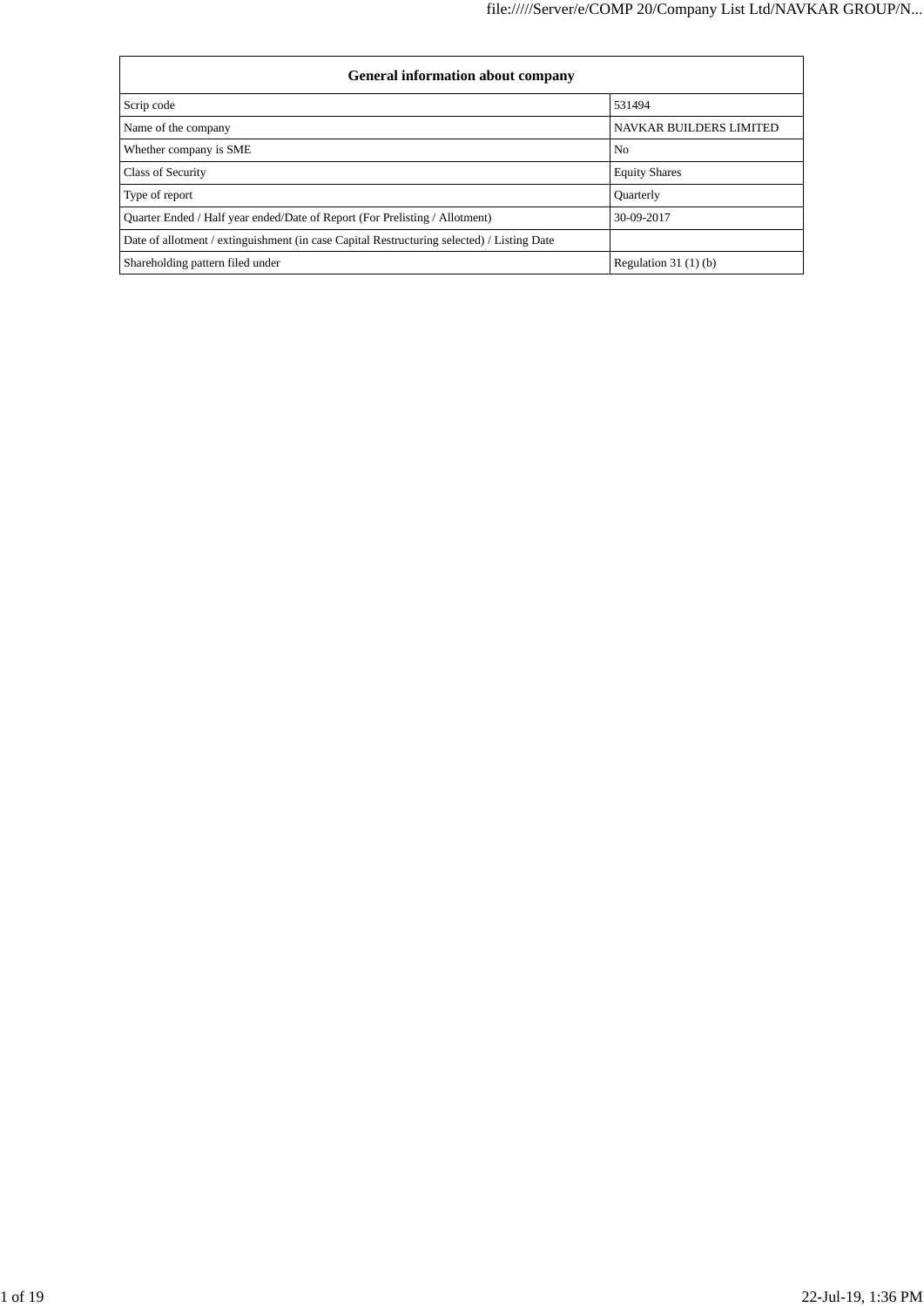| <b>General information about company</b>                                                   |                                |
|--------------------------------------------------------------------------------------------|--------------------------------|
| Scrip code                                                                                 | 531494                         |
| Name of the company                                                                        | <b>NAVKAR BUILDERS LIMITED</b> |
| Whether company is SME                                                                     | N <sub>0</sub>                 |
| Class of Security                                                                          | <b>Equity Shares</b>           |
| Type of report                                                                             | <b>Quarterly</b>               |
| Quarter Ended / Half year ended/Date of Report (For Prelisting / Allotment)                | 30-09-2017                     |
| Date of allotment / extinguishment (in case Capital Restructuring selected) / Listing Date |                                |
| Shareholding pattern filed under                                                           | Regulation $31(1)(b)$          |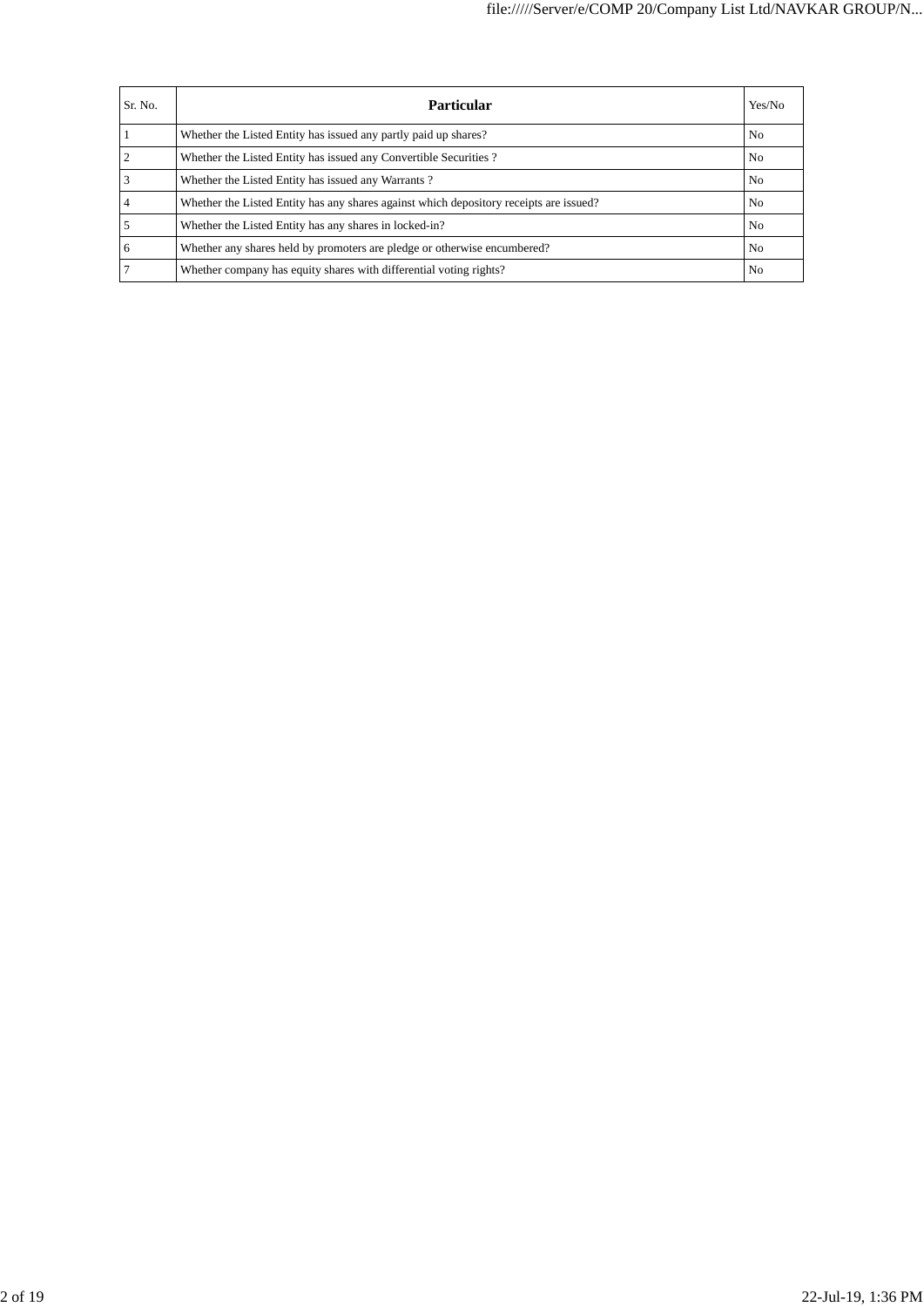| Sr. No. | Particular                                                                             | Yes/No         |
|---------|----------------------------------------------------------------------------------------|----------------|
|         | Whether the Listed Entity has issued any partly paid up shares?                        | N <sub>o</sub> |
|         | Whether the Listed Entity has issued any Convertible Securities?                       | N <sub>o</sub> |
|         | Whether the Listed Entity has issued any Warrants?                                     | N <sub>0</sub> |
|         | Whether the Listed Entity has any shares against which depository receipts are issued? | N <sub>0</sub> |
|         | Whether the Listed Entity has any shares in locked-in?                                 | N <sub>o</sub> |
| 6       | Whether any shares held by promoters are pledge or otherwise encumbered?               | N <sub>0</sub> |
|         | Whether company has equity shares with differential voting rights?                     | N <sub>0</sub> |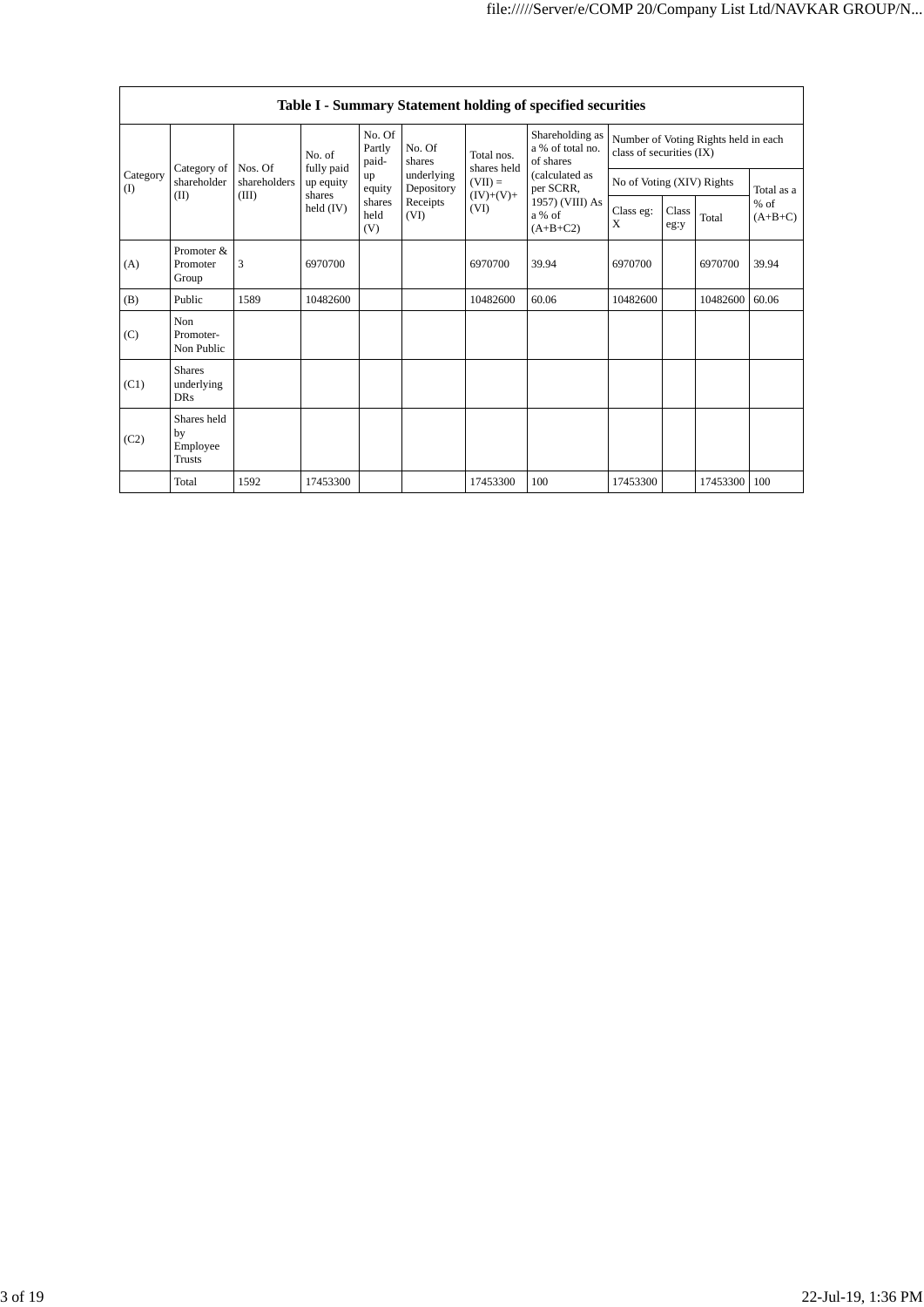|                 | Table I - Summary Statement holding of specified securities |                         |                                   |                           |                          |                                                 |                                                  |                                                                  |               |          |                     |  |  |  |
|-----------------|-------------------------------------------------------------|-------------------------|-----------------------------------|---------------------------|--------------------------|-------------------------------------------------|--------------------------------------------------|------------------------------------------------------------------|---------------|----------|---------------------|--|--|--|
|                 |                                                             |                         | No. of                            | No. Of<br>Partly<br>paid- | No. Of<br>shares         | Total nos.                                      | Shareholding as<br>a % of total no.<br>of shares | Number of Voting Rights held in each<br>class of securities (IX) |               |          |                     |  |  |  |
| Category<br>(I) | Category of<br>shareholder                                  | Nos. Of<br>shareholders | fully paid<br>up equity<br>shares | up<br>equity              | underlying<br>Depository | shares held<br>$(VII) =$<br>$(IV)+(V)+$<br>(VI) | (calculated as<br>per SCRR,                      | No of Voting (XIV) Rights                                        |               |          | Total as a          |  |  |  |
|                 | (II)                                                        | (III)                   | held $(IV)$                       | shares<br>held<br>(V)     | Receipts<br>(VI)         |                                                 | 1957) (VIII) As<br>a % of<br>$(A+B+C2)$          | Class eg:<br>X                                                   | Class<br>eg:y | Total    | $%$ of<br>$(A+B+C)$ |  |  |  |
| (A)             | Promoter &<br>Promoter<br>Group                             | 3                       | 6970700                           |                           |                          | 6970700                                         | 39.94                                            | 6970700                                                          |               | 6970700  | 39.94               |  |  |  |
| (B)             | Public                                                      | 1589                    | 10482600                          |                           |                          | 10482600                                        | 60.06                                            | 10482600                                                         |               | 10482600 | 60.06               |  |  |  |
| (C)             | Non<br>Promoter-<br>Non Public                              |                         |                                   |                           |                          |                                                 |                                                  |                                                                  |               |          |                     |  |  |  |
| (C1)            | <b>Shares</b><br>underlying<br><b>DRs</b>                   |                         |                                   |                           |                          |                                                 |                                                  |                                                                  |               |          |                     |  |  |  |
| (C2)            | Shares held<br>by<br>Employee<br>Trusts                     |                         |                                   |                           |                          |                                                 |                                                  |                                                                  |               |          |                     |  |  |  |
|                 | Total                                                       | 1592                    | 17453300                          |                           |                          | 17453300                                        | 100                                              | 17453300                                                         |               | 17453300 | 100                 |  |  |  |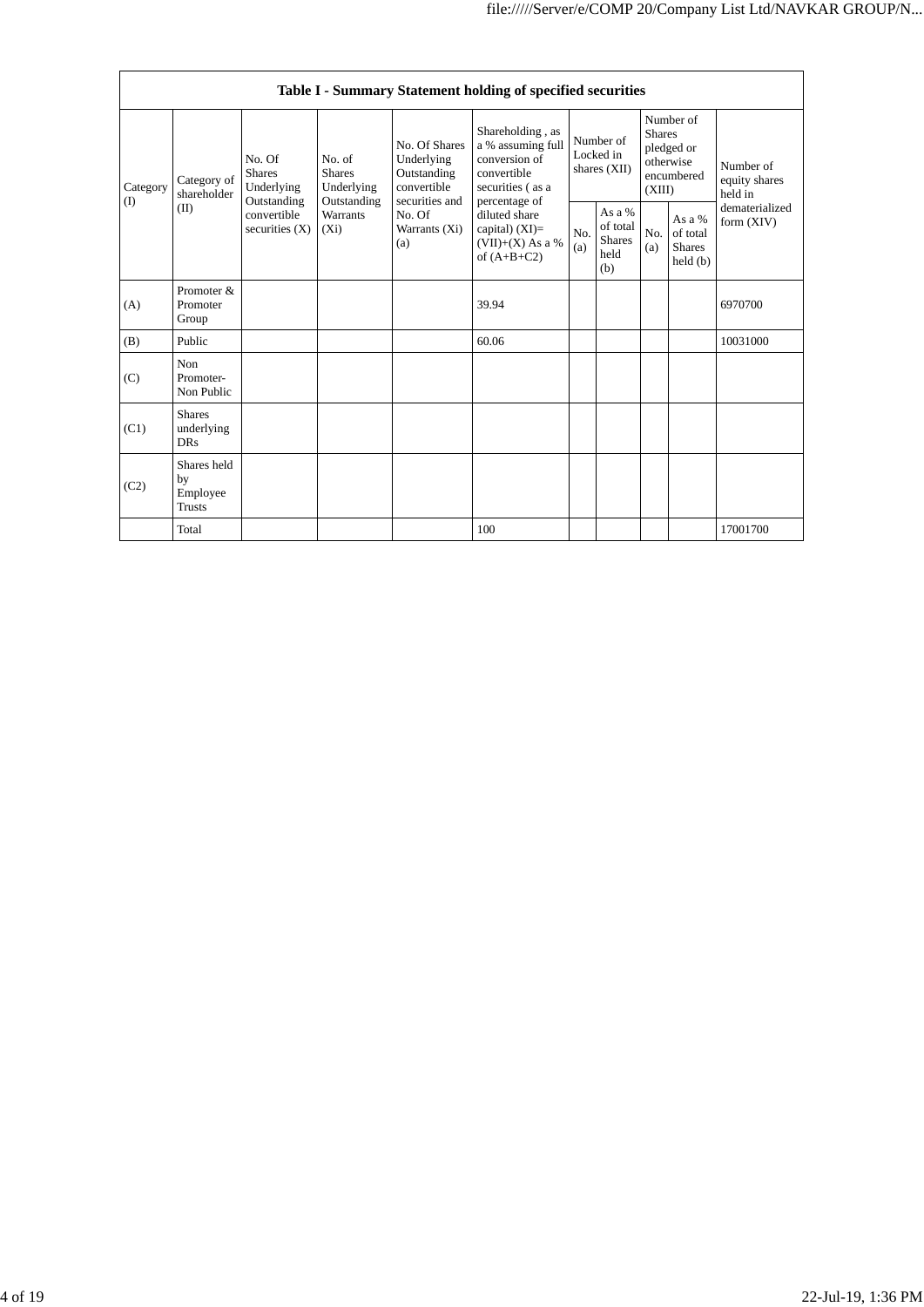|                 |                                                |                                                           |                                                                                    |                                       | Table I - Summary Statement holding of specified securities                               |                                                                                           |                                                    |            |                                                                               |          |                                                                         |
|-----------------|------------------------------------------------|-----------------------------------------------------------|------------------------------------------------------------------------------------|---------------------------------------|-------------------------------------------------------------------------------------------|-------------------------------------------------------------------------------------------|----------------------------------------------------|------------|-------------------------------------------------------------------------------|----------|-------------------------------------------------------------------------|
| Category<br>(I) | Category of<br>shareholder<br>(II)             | No. Of<br><b>Shares</b>                                   | Underlying                                                                         | No. of<br><b>Shares</b><br>Underlying | No. Of Shares<br>Underlying<br>Outstanding<br>convertible                                 | Shareholding, as<br>a % assuming full<br>conversion of<br>convertible<br>securities (as a | Number of<br>Locked in<br>shares (XII)             |            | Number of<br><b>Shares</b><br>pledged or<br>otherwise<br>encumbered<br>(XIII) |          | Number of<br>equity shares<br>held in<br>dematerialized<br>form $(XIV)$ |
|                 |                                                | Outstanding<br>convertible<br>securities $(X)$<br>$(X_i)$ | Outstanding<br>securities and<br><b>Warrants</b><br>No. Of<br>Warrants (Xi)<br>(a) |                                       | percentage of<br>diluted share<br>capital) $(XI)=$<br>$(VII)+(X)$ As a %<br>of $(A+B+C2)$ | No.<br>(a)                                                                                | As a %<br>of total<br><b>Shares</b><br>held<br>(b) | No.<br>(a) | As a %<br>of total<br><b>Shares</b><br>held(b)                                |          |                                                                         |
| (A)             | Promoter &<br>Promoter<br>Group                |                                                           |                                                                                    |                                       | 39.94                                                                                     |                                                                                           |                                                    |            |                                                                               | 6970700  |                                                                         |
| (B)             | Public                                         |                                                           |                                                                                    |                                       | 60.06                                                                                     |                                                                                           |                                                    |            |                                                                               | 10031000 |                                                                         |
| (C)             | Non<br>Promoter-<br>Non Public                 |                                                           |                                                                                    |                                       |                                                                                           |                                                                                           |                                                    |            |                                                                               |          |                                                                         |
| (C1)            | <b>Shares</b><br>underlying<br><b>DRs</b>      |                                                           |                                                                                    |                                       |                                                                                           |                                                                                           |                                                    |            |                                                                               |          |                                                                         |
| (C2)            | Shares held<br>by<br>Employee<br><b>Trusts</b> |                                                           |                                                                                    |                                       |                                                                                           |                                                                                           |                                                    |            |                                                                               |          |                                                                         |
|                 | Total                                          |                                                           |                                                                                    |                                       | 100                                                                                       |                                                                                           |                                                    |            |                                                                               | 17001700 |                                                                         |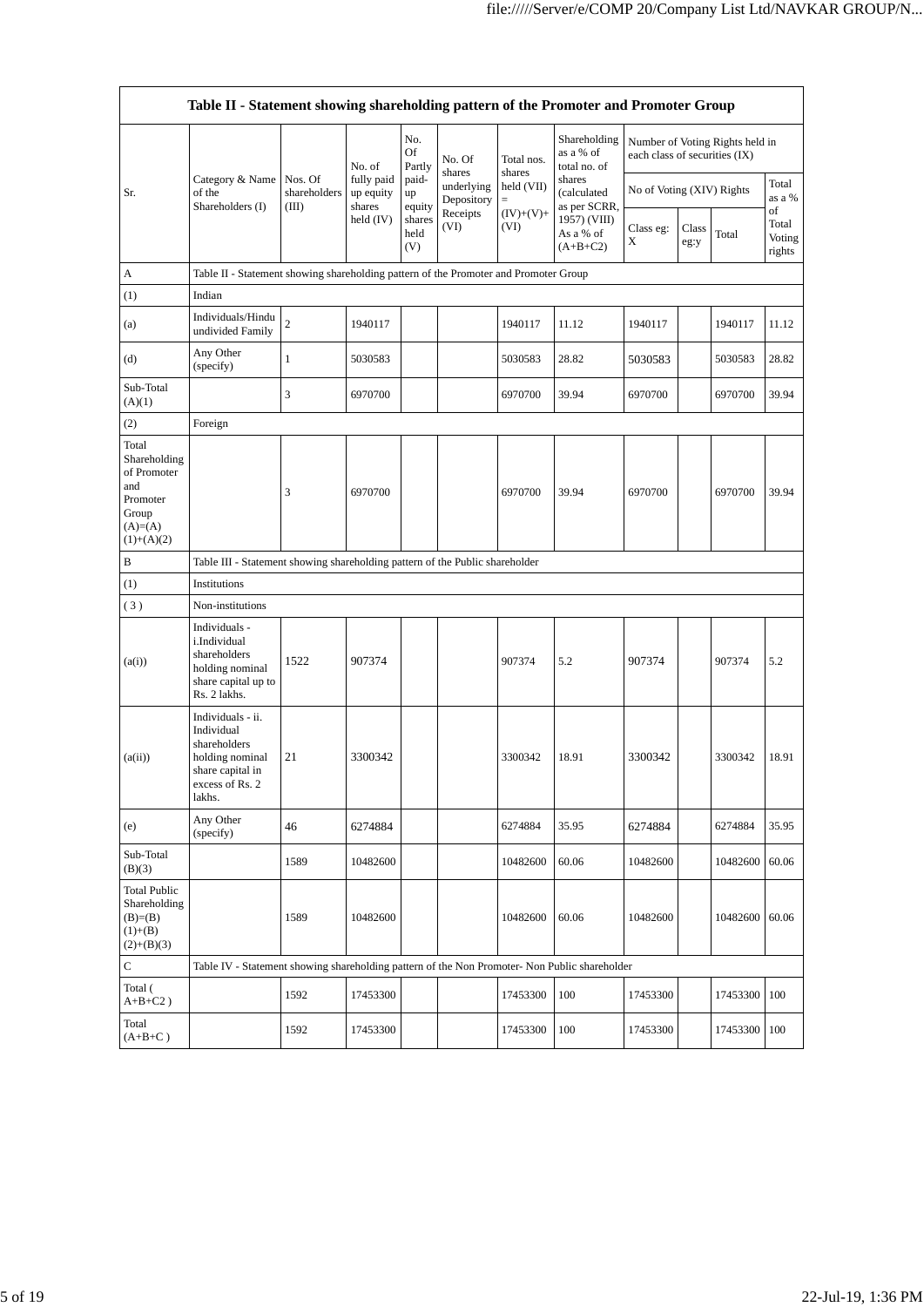|                                                                                               | Table II - Statement showing shareholding pattern of the Promoter and Promoter Group                                |                                  |                                   |                       |                                    |                             |                                                                                  |                               |               |                                 |                                 |  |
|-----------------------------------------------------------------------------------------------|---------------------------------------------------------------------------------------------------------------------|----------------------------------|-----------------------------------|-----------------------|------------------------------------|-----------------------------|----------------------------------------------------------------------------------|-------------------------------|---------------|---------------------------------|---------------------------------|--|
|                                                                                               |                                                                                                                     |                                  | No. of                            | No.<br>Of<br>Partly   | No. Of                             | Total nos.                  | Shareholding<br>as a % of<br>total no. of                                        | each class of securities (IX) |               | Number of Voting Rights held in |                                 |  |
| Sr.                                                                                           | Category & Name<br>of the<br>Shareholders (I)                                                                       | Nos. Of<br>shareholders<br>(III) | fully paid<br>up equity<br>shares | paid-<br>up<br>equity | shares<br>underlying<br>Depository | shares<br>held (VII)<br>$=$ | shares<br>(calculated<br>as per SCRR,<br>1957) (VIII)<br>As a % of<br>$(A+B+C2)$ | No of Voting (XIV) Rights     |               |                                 | Total<br>as a %                 |  |
|                                                                                               |                                                                                                                     |                                  | held $(IV)$                       | shares<br>held<br>(V) | Receipts<br>(VI)                   | $(IV)+(V)+$<br>(VI)         |                                                                                  | Class eg:<br>X                | Class<br>eg:y | Total                           | of<br>Total<br>Voting<br>rights |  |
| А                                                                                             | Table II - Statement showing shareholding pattern of the Promoter and Promoter Group                                |                                  |                                   |                       |                                    |                             |                                                                                  |                               |               |                                 |                                 |  |
| (1)                                                                                           | Indian                                                                                                              |                                  |                                   |                       |                                    |                             |                                                                                  |                               |               |                                 |                                 |  |
| (a)                                                                                           | Individuals/Hindu<br>undivided Family                                                                               | $\sqrt{2}$                       | 1940117                           |                       |                                    | 1940117                     | 11.12                                                                            | 1940117                       |               | 1940117                         | 11.12                           |  |
| (d)                                                                                           | Any Other<br>(specify)                                                                                              | $\mathbf{1}$                     | 5030583                           |                       |                                    | 5030583                     | 28.82                                                                            | 5030583                       |               | 5030583                         | 28.82                           |  |
| Sub-Total<br>(A)(1)                                                                           |                                                                                                                     | 3                                | 6970700                           |                       |                                    | 6970700                     | 39.94                                                                            | 6970700                       |               | 6970700                         | 39.94                           |  |
| (2)                                                                                           | Foreign                                                                                                             |                                  |                                   |                       |                                    |                             |                                                                                  |                               |               |                                 |                                 |  |
| Total<br>Shareholding<br>of Promoter<br>and<br>Promoter<br>Group<br>$(A)=(A)$<br>$(1)+(A)(2)$ |                                                                                                                     | 3                                | 6970700                           |                       |                                    | 6970700                     | 39.94                                                                            | 6970700                       |               | 6970700                         | 39.94                           |  |
| B                                                                                             | Table III - Statement showing shareholding pattern of the Public shareholder                                        |                                  |                                   |                       |                                    |                             |                                                                                  |                               |               |                                 |                                 |  |
| (1)                                                                                           | Institutions                                                                                                        |                                  |                                   |                       |                                    |                             |                                                                                  |                               |               |                                 |                                 |  |
| (3)                                                                                           | Non-institutions                                                                                                    |                                  |                                   |                       |                                    |                             |                                                                                  |                               |               |                                 |                                 |  |
| (a(i))                                                                                        | Individuals -<br>i.Individual<br>shareholders<br>holding nominal<br>share capital up to<br>Rs. 2 lakhs.             | 1522                             | 907374                            |                       |                                    | 907374                      | 5.2                                                                              | 907374                        |               | 907374                          | 5.2                             |  |
| (a(ii))                                                                                       | Individuals - ii.<br>Individual<br>shareholders<br>holding nominal<br>share capital in<br>excess of Rs. 2<br>lakhs. | 21                               | 3300342                           |                       |                                    | 3300342                     | 18.91                                                                            | 3300342                       |               | 3300342                         | 18.91                           |  |
| (e)                                                                                           | Any Other<br>(specify)                                                                                              | 46                               | 6274884                           |                       |                                    | 6274884                     | 35.95                                                                            | 6274884                       |               | 6274884                         | 35.95                           |  |
| Sub-Total<br>(B)(3)                                                                           |                                                                                                                     | 1589                             | 10482600                          |                       |                                    | 10482600                    | 60.06                                                                            | 10482600                      |               | 10482600                        | 60.06                           |  |
| <b>Total Public</b><br>Shareholding<br>$(B)= (B)$<br>$(1)+(B)$<br>$(2)+(B)(3)$                |                                                                                                                     | 1589                             | 10482600                          |                       |                                    | 10482600                    | 60.06                                                                            | 10482600                      |               | 10482600                        | 60.06                           |  |
| С                                                                                             | Table IV - Statement showing shareholding pattern of the Non Promoter- Non Public shareholder                       |                                  |                                   |                       |                                    |                             |                                                                                  |                               |               |                                 |                                 |  |
| Total (<br>$A+B+C2$ )                                                                         |                                                                                                                     | 1592                             | 17453300                          |                       |                                    | 17453300                    | 100                                                                              | 17453300                      |               | 17453300                        | 100                             |  |
| Total<br>$(A+B+C)$                                                                            |                                                                                                                     | 1592                             | 17453300                          |                       |                                    | 17453300                    | 100                                                                              | 17453300                      |               | 17453300                        | 100                             |  |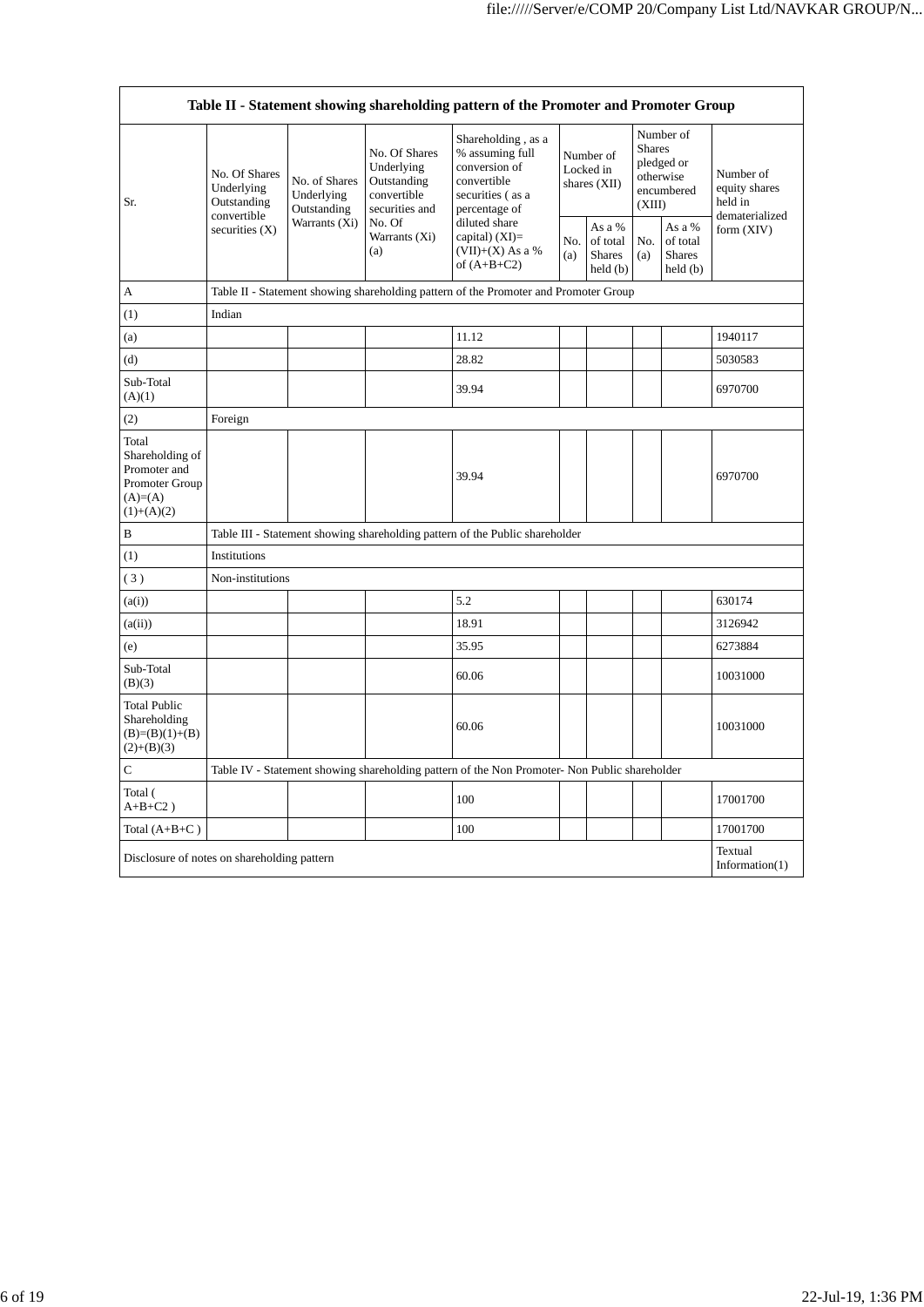| Table II - Statement showing shareholding pattern of the Promoter and Promoter Group     |                                            |                                            |                                                                             |                                                                                                                                                                                      |                                          |                                                                |                                                                               |                                                |                                                         |  |  |
|------------------------------------------------------------------------------------------|--------------------------------------------|--------------------------------------------|-----------------------------------------------------------------------------|--------------------------------------------------------------------------------------------------------------------------------------------------------------------------------------|------------------------------------------|----------------------------------------------------------------|-------------------------------------------------------------------------------|------------------------------------------------|---------------------------------------------------------|--|--|
| Sr.                                                                                      | No. Of Shares<br>Underlying<br>Outstanding | No. of Shares<br>Underlying<br>Outstanding | No. Of Shares<br>Underlying<br>Outstanding<br>convertible<br>securities and | Shareholding, as a<br>% assuming full<br>conversion of<br>convertible<br>securities (as a<br>percentage of<br>diluted share<br>capital) (XI)=<br>$(VII)+(X)$ As a %<br>of $(A+B+C2)$ | Number of<br>Locked in<br>shares $(XII)$ |                                                                | Number of<br><b>Shares</b><br>pledged or<br>otherwise<br>encumbered<br>(XIII) |                                                | Number of<br>equity shares<br>held in<br>dematerialized |  |  |
|                                                                                          | convertible<br>securities $(X)$            | Warrants (Xi)                              | No. Of<br>Warrants (Xi)<br>(a)                                              |                                                                                                                                                                                      | No.<br>(a)                               | As a %<br>of total<br><b>Shares</b><br>$\text{held}(\text{b})$ | No.<br>(a)                                                                    | As a %<br>of total<br><b>Shares</b><br>held(b) | form $(XIV)$                                            |  |  |
| A                                                                                        |                                            |                                            |                                                                             | Table II - Statement showing shareholding pattern of the Promoter and Promoter Group                                                                                                 |                                          |                                                                |                                                                               |                                                |                                                         |  |  |
| (1)                                                                                      | Indian                                     |                                            |                                                                             |                                                                                                                                                                                      |                                          |                                                                |                                                                               |                                                |                                                         |  |  |
| (a)                                                                                      |                                            |                                            |                                                                             | 11.12                                                                                                                                                                                |                                          |                                                                |                                                                               |                                                | 1940117                                                 |  |  |
| (d)                                                                                      |                                            |                                            |                                                                             | 28.82                                                                                                                                                                                |                                          |                                                                |                                                                               |                                                | 5030583                                                 |  |  |
| Sub-Total<br>(A)(1)                                                                      |                                            |                                            |                                                                             | 39.94                                                                                                                                                                                |                                          |                                                                |                                                                               |                                                | 6970700                                                 |  |  |
| (2)                                                                                      | Foreign                                    |                                            |                                                                             |                                                                                                                                                                                      |                                          |                                                                |                                                                               |                                                |                                                         |  |  |
| Total<br>Shareholding of<br>Promoter and<br>Promoter Group<br>$(A)= (A)$<br>$(1)+(A)(2)$ |                                            |                                            |                                                                             | 39.94                                                                                                                                                                                |                                          |                                                                |                                                                               |                                                | 6970700                                                 |  |  |
| B                                                                                        |                                            |                                            |                                                                             | Table III - Statement showing shareholding pattern of the Public shareholder                                                                                                         |                                          |                                                                |                                                                               |                                                |                                                         |  |  |
| (1)                                                                                      | Institutions                               |                                            |                                                                             |                                                                                                                                                                                      |                                          |                                                                |                                                                               |                                                |                                                         |  |  |
| (3)                                                                                      | Non-institutions                           |                                            |                                                                             |                                                                                                                                                                                      |                                          |                                                                |                                                                               |                                                |                                                         |  |  |
| (a(i))                                                                                   |                                            |                                            |                                                                             | 5.2                                                                                                                                                                                  |                                          |                                                                |                                                                               |                                                | 630174                                                  |  |  |
| (a(ii))                                                                                  |                                            |                                            |                                                                             | 18.91                                                                                                                                                                                |                                          |                                                                |                                                                               |                                                | 3126942                                                 |  |  |
| (e)                                                                                      |                                            |                                            |                                                                             | 35.95                                                                                                                                                                                |                                          |                                                                |                                                                               |                                                | 6273884                                                 |  |  |
| Sub-Total<br>(B)(3)                                                                      |                                            |                                            |                                                                             | 60.06                                                                                                                                                                                |                                          |                                                                |                                                                               |                                                | 10031000                                                |  |  |
| <b>Total Public</b><br>Shareholding<br>$(B)=(B)(1)+(B)$<br>$(2)+(B)(3)$                  |                                            |                                            |                                                                             | 60.06                                                                                                                                                                                |                                          |                                                                |                                                                               |                                                | 10031000                                                |  |  |
| $\mathsf{C}$                                                                             |                                            |                                            |                                                                             | Table IV - Statement showing shareholding pattern of the Non Promoter- Non Public shareholder                                                                                        |                                          |                                                                |                                                                               |                                                |                                                         |  |  |
| Total (<br>$A+B+C2$ )                                                                    |                                            |                                            |                                                                             | 100                                                                                                                                                                                  |                                          |                                                                |                                                                               |                                                | 17001700                                                |  |  |
| Total $(A+B+C)$                                                                          |                                            |                                            |                                                                             | 100                                                                                                                                                                                  |                                          |                                                                |                                                                               |                                                | 17001700                                                |  |  |
| Textual<br>Disclosure of notes on shareholding pattern<br>Information(1)                 |                                            |                                            |                                                                             |                                                                                                                                                                                      |                                          |                                                                |                                                                               |                                                |                                                         |  |  |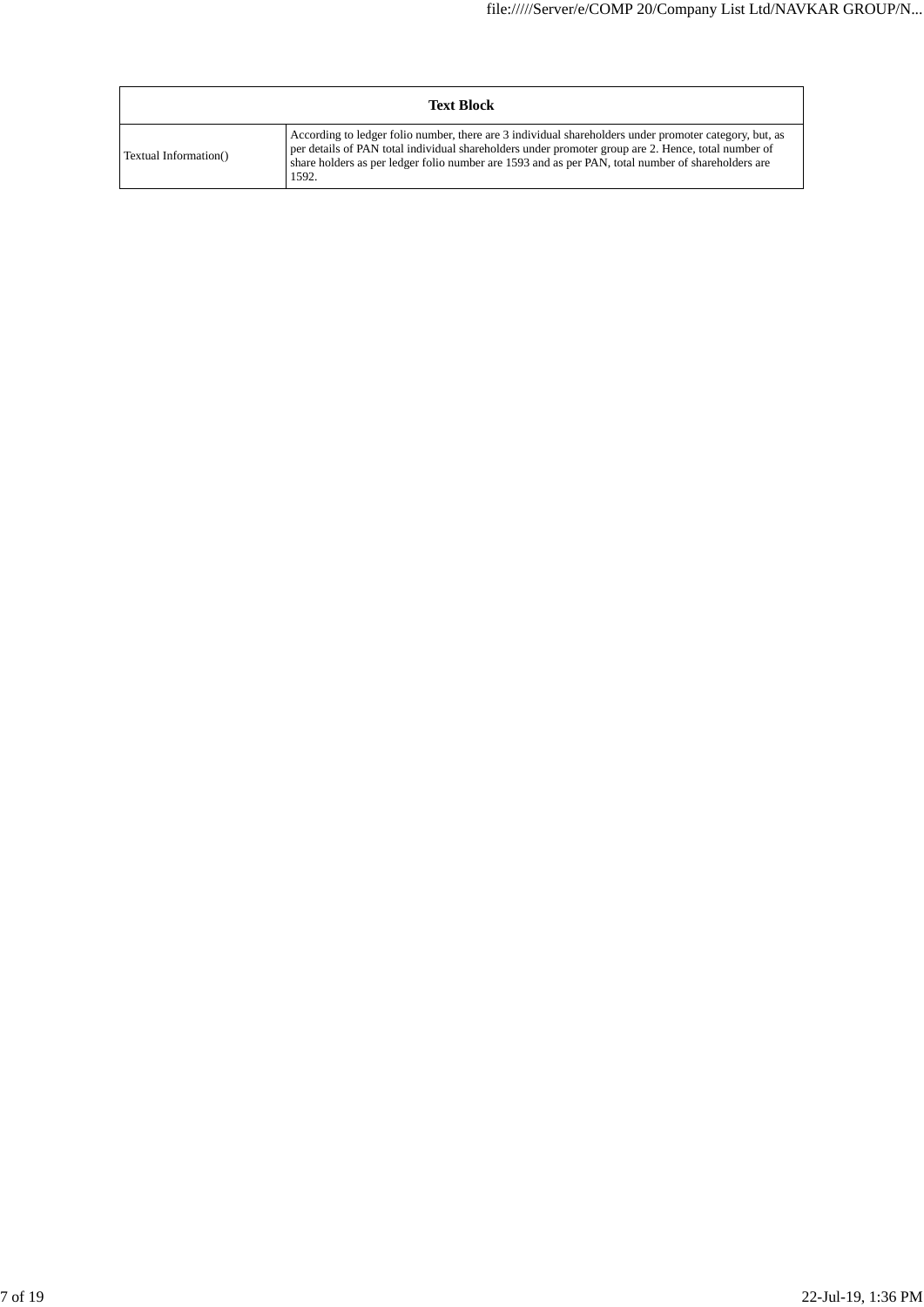|                       | <b>Text Block</b>                                                                                                                                                                                                                                                                                                            |
|-----------------------|------------------------------------------------------------------------------------------------------------------------------------------------------------------------------------------------------------------------------------------------------------------------------------------------------------------------------|
| Textual Information() | According to ledger folio number, there are 3 individual shareholders under promoter category, but, as<br>per details of PAN total individual shareholders under promoter group are 2. Hence, total number of<br>share holders as per ledger folio number are 1593 and as per PAN, total number of shareholders are<br>1592. |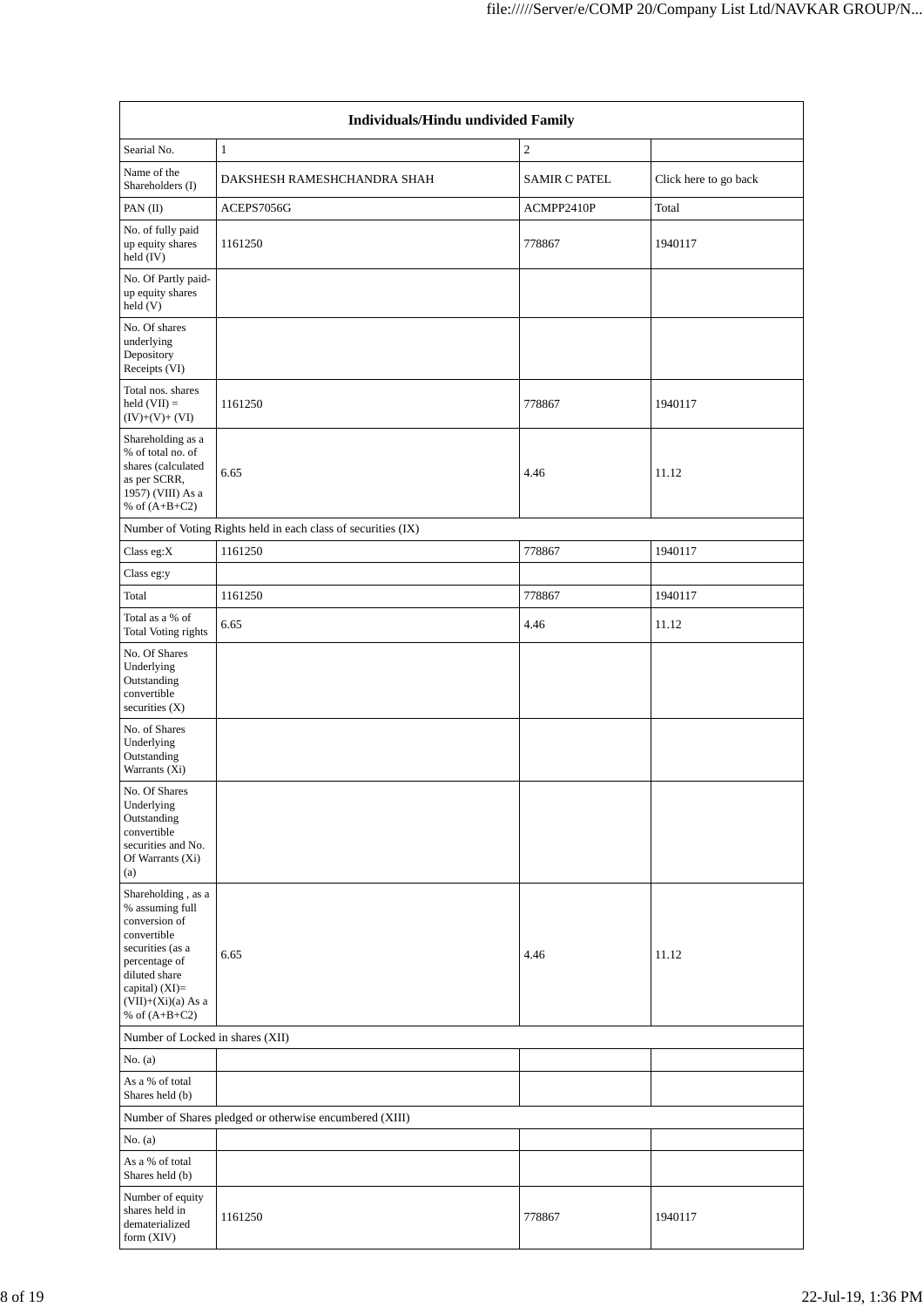| <b>Individuals/Hindu undivided Family</b>                                                                                                                                                  |                                                               |                      |                       |  |  |  |  |  |
|--------------------------------------------------------------------------------------------------------------------------------------------------------------------------------------------|---------------------------------------------------------------|----------------------|-----------------------|--|--|--|--|--|
| Searial No.                                                                                                                                                                                | $\mathbf{1}$                                                  | $\mathbf{2}$         |                       |  |  |  |  |  |
| Name of the<br>Shareholders (I)                                                                                                                                                            | DAKSHESH RAMESHCHANDRA SHAH                                   | <b>SAMIR C PATEL</b> | Click here to go back |  |  |  |  |  |
| PAN (II)                                                                                                                                                                                   | ACEPS7056G                                                    | ACMPP2410P           | Total                 |  |  |  |  |  |
| No. of fully paid<br>up equity shares<br>held (IV)                                                                                                                                         | 1161250                                                       | 778867               | 1940117               |  |  |  |  |  |
| No. Of Partly paid-<br>up equity shares<br>held (V)                                                                                                                                        |                                                               |                      |                       |  |  |  |  |  |
| No. Of shares<br>underlying<br>Depository<br>Receipts (VI)                                                                                                                                 |                                                               |                      |                       |  |  |  |  |  |
| Total nos. shares<br>held $(VII) =$<br>$(IV)+(V)+(VI)$                                                                                                                                     | 1161250                                                       | 778867               | 1940117               |  |  |  |  |  |
| Shareholding as a<br>% of total no. of<br>shares (calculated<br>as per SCRR,<br>1957) (VIII) As a<br>% of $(A+B+C2)$                                                                       | 6.65                                                          | 4.46                 | 11.12                 |  |  |  |  |  |
|                                                                                                                                                                                            | Number of Voting Rights held in each class of securities (IX) |                      |                       |  |  |  |  |  |
| Class eg: $X$                                                                                                                                                                              | 1161250                                                       | 778867               | 1940117               |  |  |  |  |  |
| Class eg:y                                                                                                                                                                                 |                                                               |                      |                       |  |  |  |  |  |
| Total                                                                                                                                                                                      | 1161250                                                       | 778867               | 1940117               |  |  |  |  |  |
| Total as a % of<br>Total Voting rights                                                                                                                                                     | 6.65                                                          | 4.46                 | 11.12                 |  |  |  |  |  |
| No. Of Shares<br>Underlying<br>Outstanding<br>convertible<br>securities $(X)$                                                                                                              |                                                               |                      |                       |  |  |  |  |  |
| No. of Shares<br>Underlying<br>Outstanding<br>Warrants (Xi)                                                                                                                                |                                                               |                      |                       |  |  |  |  |  |
| No. Of Shares<br>Underlying<br>Outstanding<br>convertible<br>securities and No.<br>Of Warrants (Xi)<br>(a)                                                                                 |                                                               |                      |                       |  |  |  |  |  |
| Shareholding, as a<br>% assuming full<br>conversion of<br>convertible<br>securities (as a<br>percentage of<br>diluted share<br>capital) $(XI)=$<br>$(VII)+(Xi)(a)$ As a<br>% of $(A+B+C2)$ | 6.65                                                          | 4.46                 | 11.12                 |  |  |  |  |  |
| Number of Locked in shares (XII)                                                                                                                                                           |                                                               |                      |                       |  |  |  |  |  |
| No. (a)                                                                                                                                                                                    |                                                               |                      |                       |  |  |  |  |  |
| As a % of total<br>Shares held (b)                                                                                                                                                         |                                                               |                      |                       |  |  |  |  |  |
|                                                                                                                                                                                            | Number of Shares pledged or otherwise encumbered (XIII)       |                      |                       |  |  |  |  |  |
| No. $(a)$                                                                                                                                                                                  |                                                               |                      |                       |  |  |  |  |  |
| As a % of total<br>Shares held (b)                                                                                                                                                         |                                                               |                      |                       |  |  |  |  |  |
| Number of equity<br>shares held in<br>dematerialized<br>form (XIV)                                                                                                                         | 1161250                                                       | 778867               | 1940117               |  |  |  |  |  |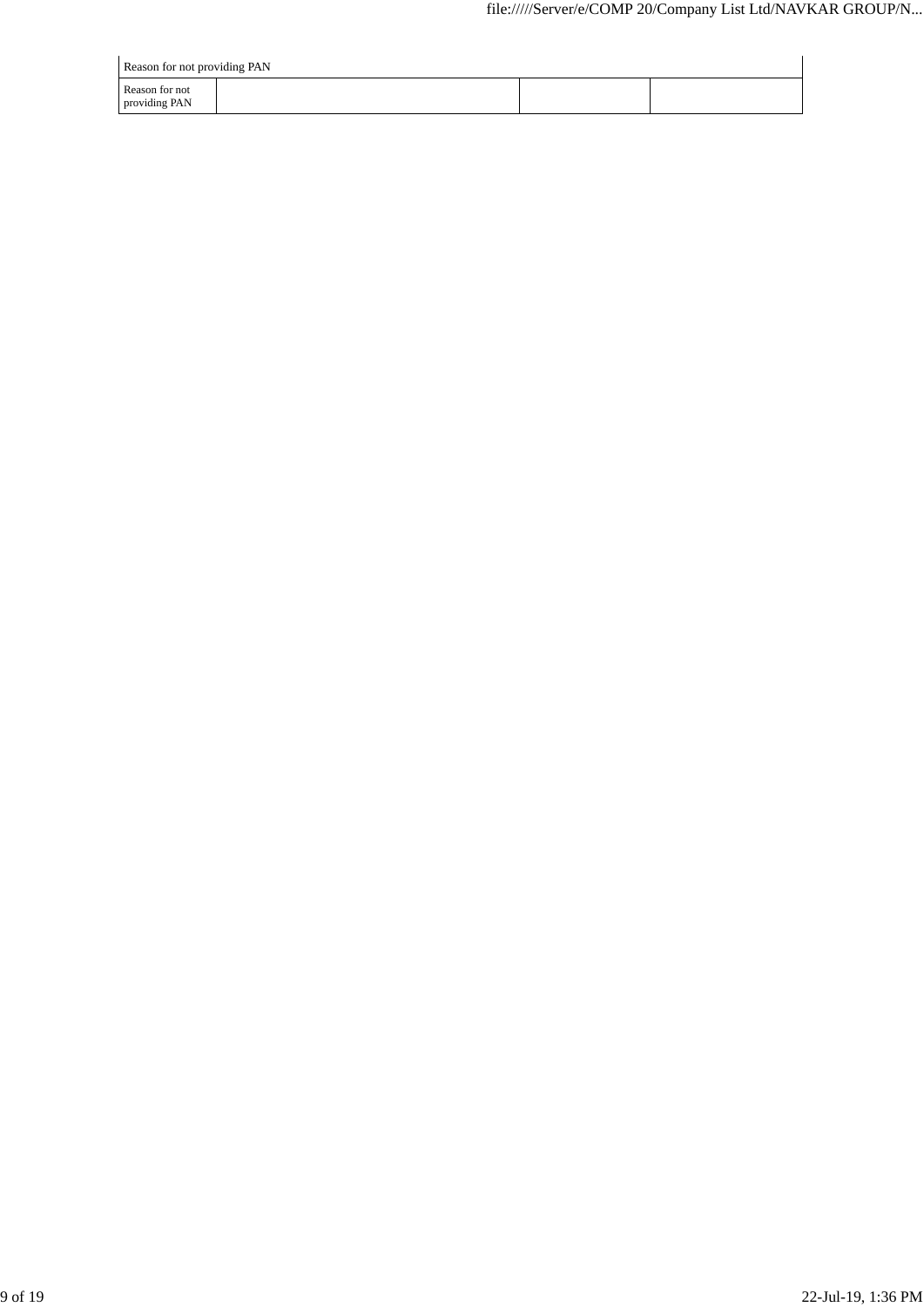| Reason for not providing PAN    |  |  |  |  |  |  |  |  |
|---------------------------------|--|--|--|--|--|--|--|--|
| Reason for not<br>providing PAN |  |  |  |  |  |  |  |  |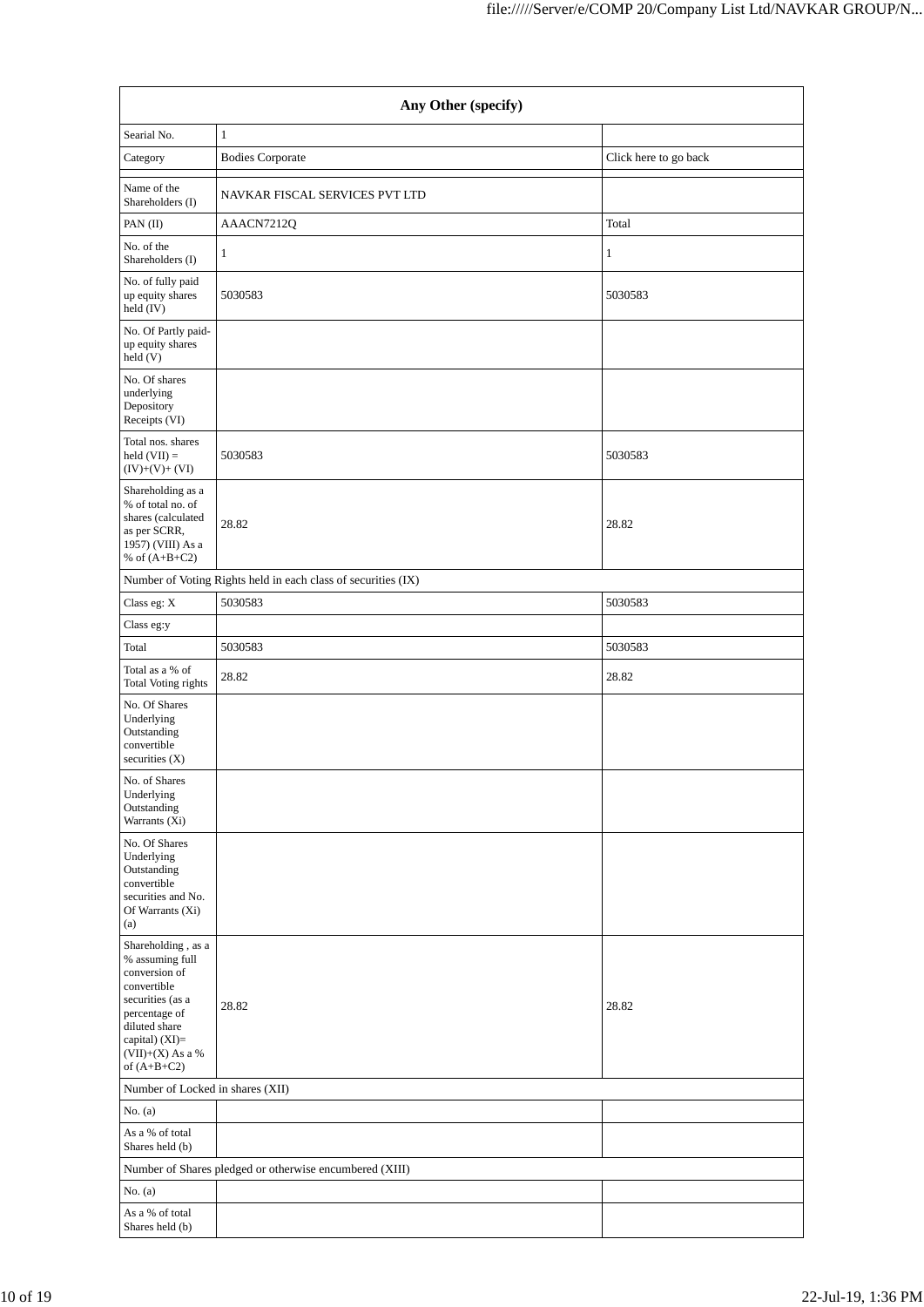| Any Other (specify)                                                                                                                                                                     |                                                               |                       |  |  |  |  |  |  |
|-----------------------------------------------------------------------------------------------------------------------------------------------------------------------------------------|---------------------------------------------------------------|-----------------------|--|--|--|--|--|--|
| Searial No.                                                                                                                                                                             | $1\,$                                                         |                       |  |  |  |  |  |  |
| Category                                                                                                                                                                                | <b>Bodies Corporate</b>                                       | Click here to go back |  |  |  |  |  |  |
| Name of the<br>Shareholders (I)                                                                                                                                                         | NAVKAR FISCAL SERVICES PVT LTD                                |                       |  |  |  |  |  |  |
| PAN $(II)$                                                                                                                                                                              | AAACN7212Q                                                    | Total                 |  |  |  |  |  |  |
| No. of the<br>Shareholders (I)                                                                                                                                                          | 1                                                             | 1                     |  |  |  |  |  |  |
| No. of fully paid<br>up equity shares<br>held (IV)                                                                                                                                      | 5030583                                                       | 5030583               |  |  |  |  |  |  |
| No. Of Partly paid-<br>up equity shares<br>held (V)                                                                                                                                     |                                                               |                       |  |  |  |  |  |  |
| No. Of shares<br>underlying<br>Depository<br>Receipts (VI)                                                                                                                              |                                                               |                       |  |  |  |  |  |  |
| Total nos. shares<br>held $(VII) =$<br>$(IV)+(V)+(VI)$                                                                                                                                  | 5030583                                                       | 5030583               |  |  |  |  |  |  |
| Shareholding as a<br>% of total no. of<br>shares (calculated<br>as per SCRR,<br>1957) (VIII) As a<br>% of $(A+B+C2)$                                                                    | 28.82                                                         | 28.82                 |  |  |  |  |  |  |
|                                                                                                                                                                                         | Number of Voting Rights held in each class of securities (IX) |                       |  |  |  |  |  |  |
| Class eg: X                                                                                                                                                                             | 5030583                                                       | 5030583               |  |  |  |  |  |  |
| Class eg:y                                                                                                                                                                              |                                                               |                       |  |  |  |  |  |  |
| Total                                                                                                                                                                                   | 5030583                                                       | 5030583               |  |  |  |  |  |  |
| Total as a % of<br>Total Voting rights                                                                                                                                                  | 28.82                                                         | 28.82                 |  |  |  |  |  |  |
| No. Of Shares<br>Underlying<br>Outstanding<br>convertible<br>securities $(X)$<br>No. of Shares<br>Underlying<br>Outstanding                                                             |                                                               |                       |  |  |  |  |  |  |
| Warrants (Xi)<br>No. Of Shares                                                                                                                                                          |                                                               |                       |  |  |  |  |  |  |
| Underlying<br>Outstanding<br>convertible<br>securities and No.<br>Of Warrants (Xi)<br>(a)                                                                                               |                                                               |                       |  |  |  |  |  |  |
| Shareholding, as a<br>% assuming full<br>conversion of<br>convertible<br>securities (as a<br>percentage of<br>diluted share<br>capital) (XI)=<br>$(VII)+(X)$ As a $\%$<br>of $(A+B+C2)$ | 28.82                                                         | 28.82                 |  |  |  |  |  |  |
| Number of Locked in shares (XII)                                                                                                                                                        |                                                               |                       |  |  |  |  |  |  |
| No. $(a)$                                                                                                                                                                               |                                                               |                       |  |  |  |  |  |  |
| As a % of total<br>Shares held (b)                                                                                                                                                      |                                                               |                       |  |  |  |  |  |  |
|                                                                                                                                                                                         | Number of Shares pledged or otherwise encumbered (XIII)       |                       |  |  |  |  |  |  |
| No. $(a)$                                                                                                                                                                               |                                                               |                       |  |  |  |  |  |  |
| As a % of total<br>Shares held (b)                                                                                                                                                      |                                                               |                       |  |  |  |  |  |  |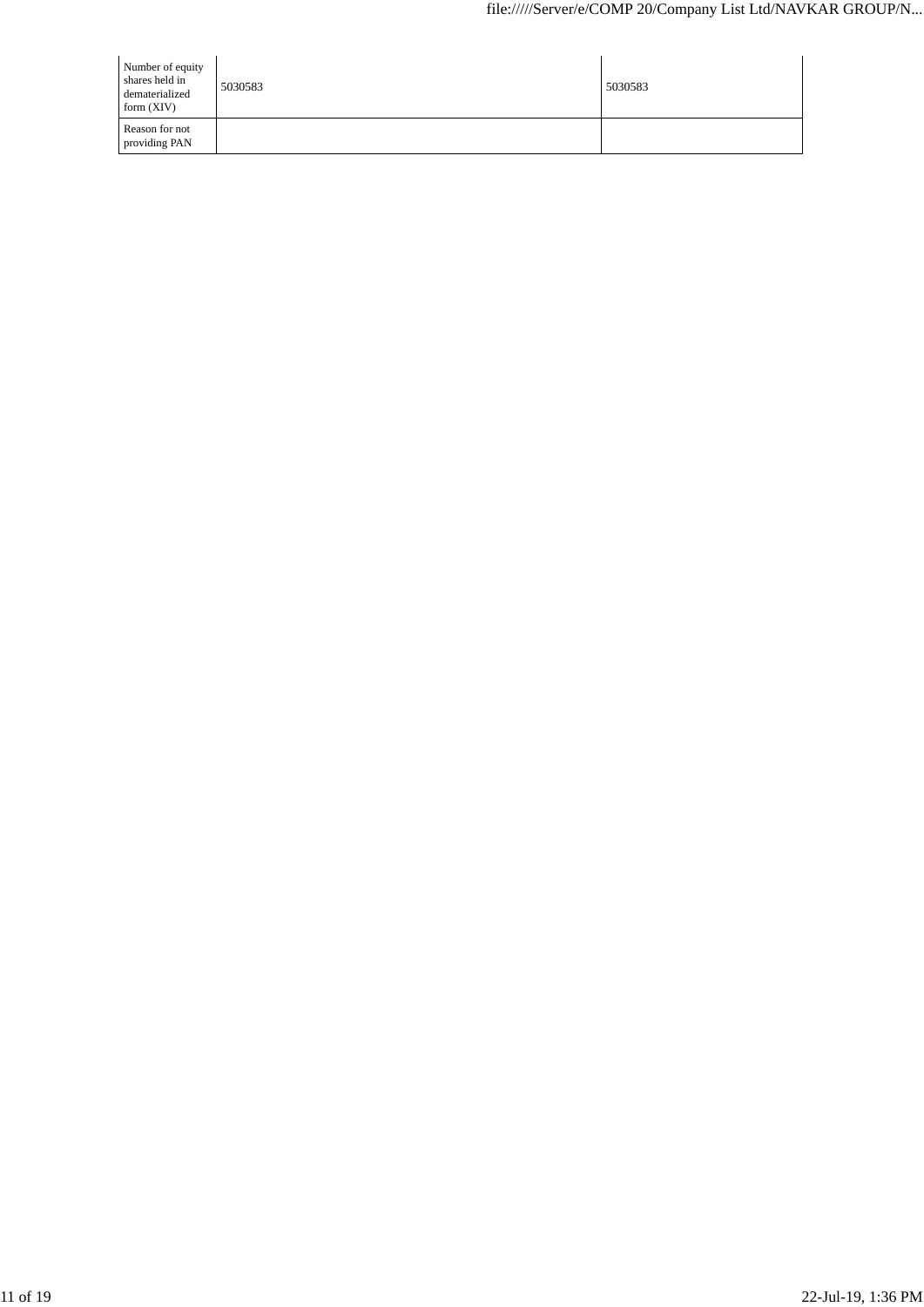| Number of equity<br>shares held in<br>dematerialized<br>form $(XIV)$ | 5030583 | 5030583 |
|----------------------------------------------------------------------|---------|---------|
| Reason for not<br>providing PAN                                      |         |         |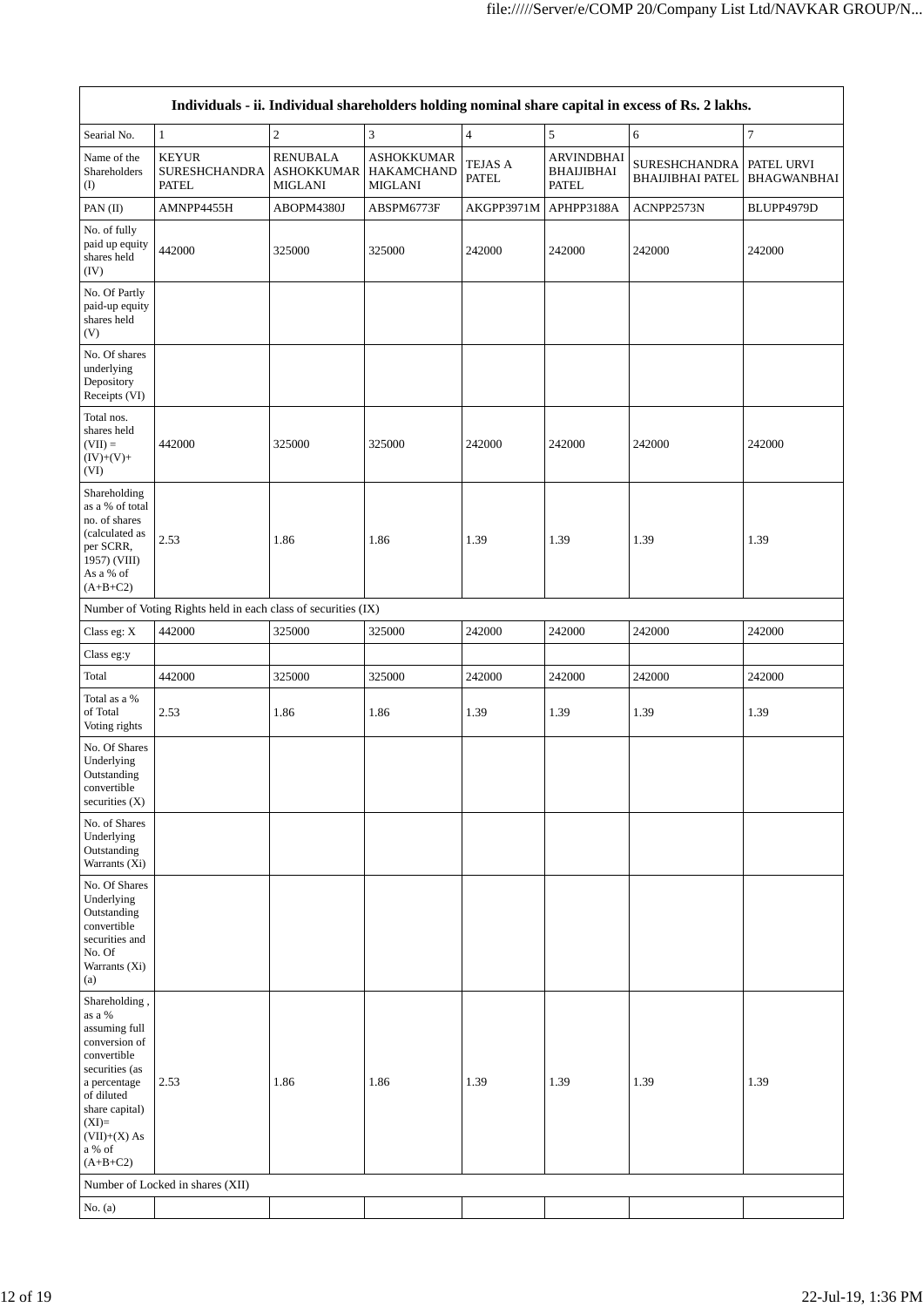| Individuals - ii. Individual shareholders holding nominal share capital in excess of Rs. 2 lakhs.                                                                                               |                                                               |                                                        |                                                          |                                |                                                        |                                                 |                                  |  |  |  |
|-------------------------------------------------------------------------------------------------------------------------------------------------------------------------------------------------|---------------------------------------------------------------|--------------------------------------------------------|----------------------------------------------------------|--------------------------------|--------------------------------------------------------|-------------------------------------------------|----------------------------------|--|--|--|
| Searial No.                                                                                                                                                                                     | $\mathbf{1}$                                                  | $\mathfrak{2}$                                         | 3                                                        | $\overline{4}$                 | 5                                                      | 6                                               | $\overline{7}$                   |  |  |  |
| Name of the<br>Shareholders<br>$($ I                                                                                                                                                            | <b>KEYUR</b><br><b>SURESHCHANDRA</b><br><b>PATEL</b>          | <b>RENUBALA</b><br><b>ASHOKKUMAR</b><br><b>MIGLANI</b> | <b>ASHOKKUMAR</b><br><b>HAKAMCHAND</b><br><b>MIGLANI</b> | <b>TEJAS A</b><br><b>PATEL</b> | <b>ARVINDBHAI</b><br><b>BHAIJIBHAI</b><br><b>PATEL</b> | <b>SURESHCHANDRA</b><br><b>BHAIJIBHAI PATEL</b> | PATEL URVI<br><b>BHAGWANBHAI</b> |  |  |  |
| PAN(II)                                                                                                                                                                                         | AMNPP4455H                                                    | ABOPM4380J                                             | ABSPM6773F                                               | AKGPP3971M                     | APHPP3188A                                             | ACNPP2573N                                      | BLUPP4979D                       |  |  |  |
| No. of fully<br>paid up equity<br>shares held<br>(IV)                                                                                                                                           | 442000                                                        | 325000                                                 | 325000                                                   | 242000                         | 242000                                                 | 242000                                          | 242000                           |  |  |  |
| No. Of Partly<br>paid-up equity<br>shares held<br>(V)                                                                                                                                           |                                                               |                                                        |                                                          |                                |                                                        |                                                 |                                  |  |  |  |
| No. Of shares<br>underlying<br>Depository<br>Receipts (VI)                                                                                                                                      |                                                               |                                                        |                                                          |                                |                                                        |                                                 |                                  |  |  |  |
| Total nos.<br>shares held<br>$(VII) =$<br>$(IV)+(V)+$<br>(VI)                                                                                                                                   | 442000                                                        | 325000                                                 | 325000                                                   | 242000                         | 242000                                                 | 242000                                          | 242000                           |  |  |  |
| Shareholding<br>as a % of total<br>no. of shares<br>(calculated as<br>per SCRR,<br>1957) (VIII)<br>As a % of<br>$(A+B+C2)$                                                                      | 2.53                                                          | 1.86                                                   | 1.86                                                     | 1.39                           | 1.39                                                   | 1.39                                            | 1.39                             |  |  |  |
|                                                                                                                                                                                                 | Number of Voting Rights held in each class of securities (IX) |                                                        |                                                          |                                |                                                        |                                                 |                                  |  |  |  |
| Class eg: X                                                                                                                                                                                     | 442000                                                        | 325000                                                 | 325000                                                   | 242000                         | 242000                                                 | 242000                                          | 242000                           |  |  |  |
| Class eg:y                                                                                                                                                                                      |                                                               |                                                        |                                                          |                                |                                                        |                                                 |                                  |  |  |  |
| Total                                                                                                                                                                                           | 442000                                                        | 325000                                                 | 325000                                                   | 242000                         | 242000                                                 | 242000                                          | 242000                           |  |  |  |
| Total as a %<br>of Total<br>Voting rights                                                                                                                                                       | 2.53                                                          | 1.86                                                   | 1.86                                                     | 1.39                           | 1.39                                                   | 1.39                                            | 1.39                             |  |  |  |
| No. Of Shares<br>Underlying<br>Outstanding<br>convertible<br>securities $(X)$                                                                                                                   |                                                               |                                                        |                                                          |                                |                                                        |                                                 |                                  |  |  |  |
| No. of Shares<br>Underlying<br>Outstanding<br>Warrants (Xi)                                                                                                                                     |                                                               |                                                        |                                                          |                                |                                                        |                                                 |                                  |  |  |  |
| No. Of Shares<br>Underlying<br>Outstanding<br>convertible<br>securities and<br>No. Of<br>Warrants (Xi)<br>(a)                                                                                   |                                                               |                                                        |                                                          |                                |                                                        |                                                 |                                  |  |  |  |
| Shareholding,<br>as a %<br>assuming full<br>conversion of<br>convertible<br>securities (as<br>a percentage<br>of diluted<br>share capital)<br>$(XI)=$<br>$(VII)+(X)$ As<br>a % of<br>$(A+B+C2)$ | 2.53                                                          | 1.86                                                   | 1.86                                                     | 1.39                           | 1.39                                                   | 1.39                                            | 1.39                             |  |  |  |
|                                                                                                                                                                                                 | Number of Locked in shares (XII)                              |                                                        |                                                          |                                |                                                        |                                                 |                                  |  |  |  |
| No. $(a)$                                                                                                                                                                                       |                                                               |                                                        |                                                          |                                |                                                        |                                                 |                                  |  |  |  |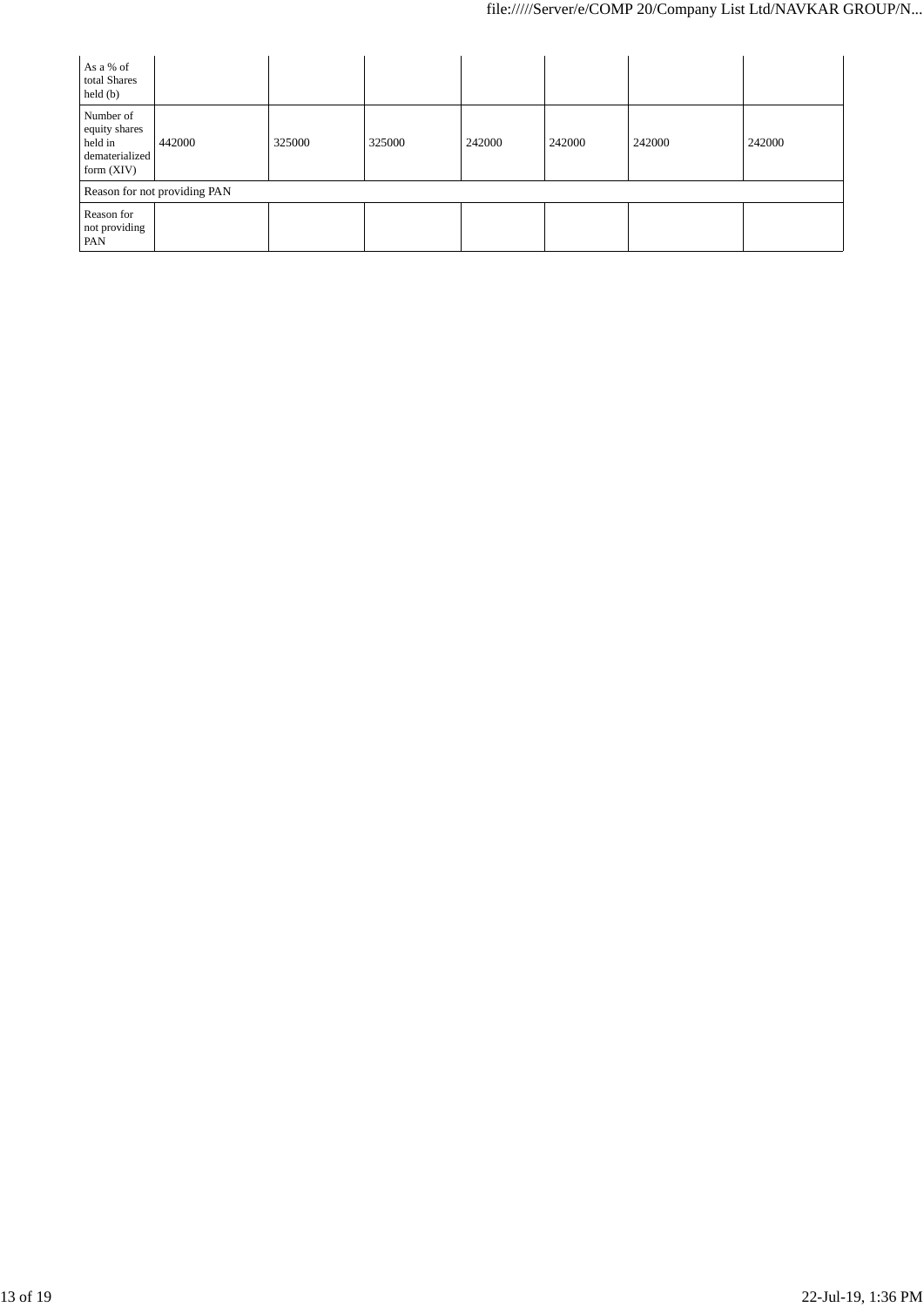| As a % of<br>total Shares<br>$\text{held}(\text{b})$                    |        |        |        |        |        |        |        |
|-------------------------------------------------------------------------|--------|--------|--------|--------|--------|--------|--------|
| Number of<br>equity shares<br>held in<br>dematerialized<br>form $(XIV)$ | 442000 | 325000 | 325000 | 242000 | 242000 | 242000 | 242000 |
| Reason for not providing PAN                                            |        |        |        |        |        |        |        |
| Reason for<br>not providing<br>PAN                                      |        |        |        |        |        |        |        |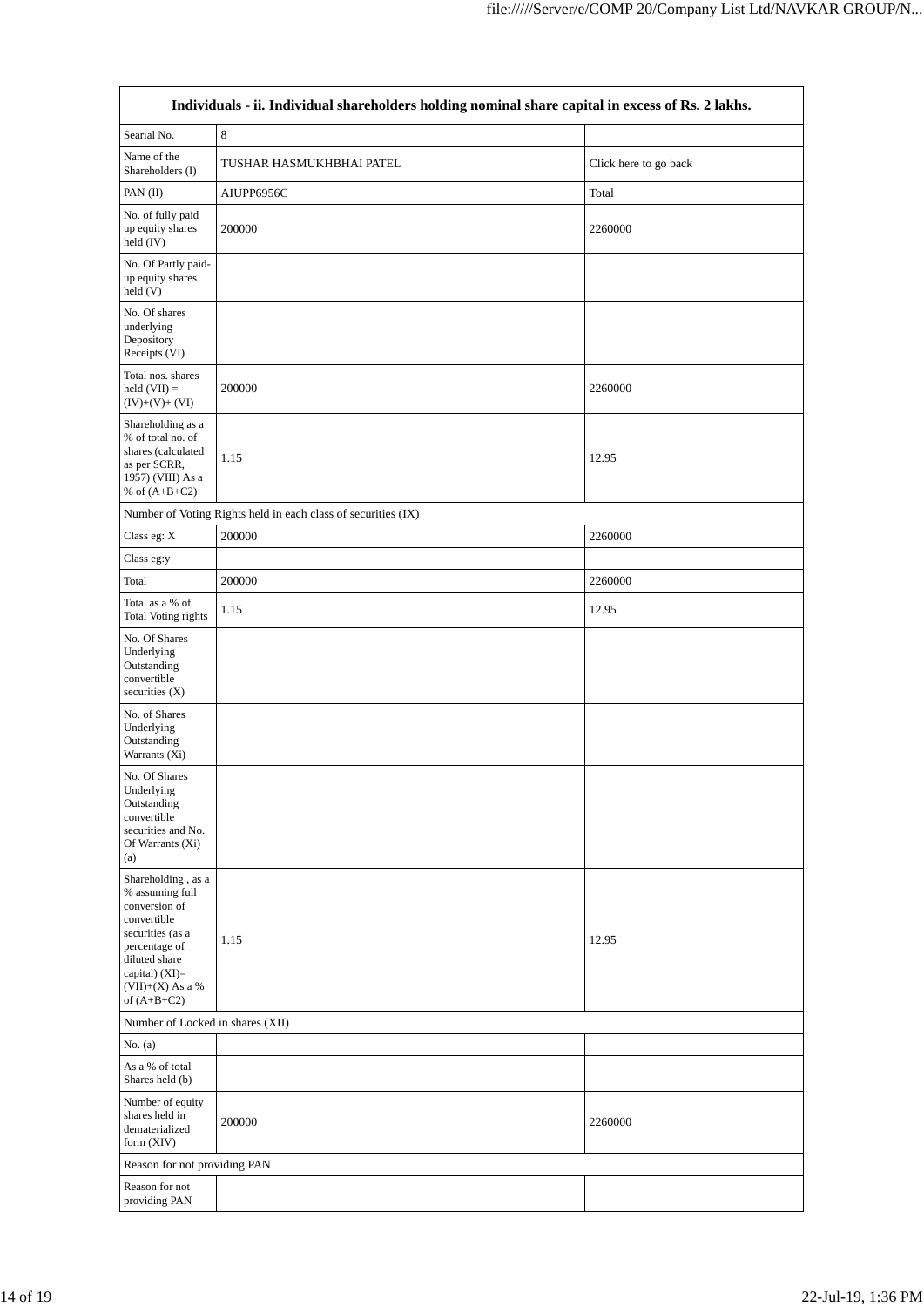| Individuals - ii. Individual shareholders holding nominal share capital in excess of Rs. 2 lakhs.                                                                                    |                                                               |                       |  |  |  |
|--------------------------------------------------------------------------------------------------------------------------------------------------------------------------------------|---------------------------------------------------------------|-----------------------|--|--|--|
| Searial No.                                                                                                                                                                          | $\,$ 8 $\,$                                                   |                       |  |  |  |
| Name of the<br>Shareholders (I)                                                                                                                                                      | TUSHAR HASMUKHBHAI PATEL                                      | Click here to go back |  |  |  |
| PAN (II)                                                                                                                                                                             | AIUPP6956C                                                    | Total                 |  |  |  |
| No. of fully paid<br>up equity shares<br>held (IV)                                                                                                                                   | 200000                                                        | 2260000               |  |  |  |
| No. Of Partly paid-<br>up equity shares<br>held(V)                                                                                                                                   |                                                               |                       |  |  |  |
| No. Of shares<br>underlying<br>Depository<br>Receipts (VI)                                                                                                                           |                                                               |                       |  |  |  |
| Total nos. shares<br>held $(VII) =$<br>$(IV)+(V)+(VI)$                                                                                                                               | 200000                                                        | 2260000               |  |  |  |
| Shareholding as a<br>% of total no. of<br>shares (calculated<br>as per SCRR,<br>1957) (VIII) As a<br>% of $(A+B+C2)$                                                                 | 1.15                                                          | 12.95                 |  |  |  |
|                                                                                                                                                                                      | Number of Voting Rights held in each class of securities (IX) |                       |  |  |  |
| Class eg: X                                                                                                                                                                          | 200000                                                        | 2260000               |  |  |  |
| Class eg:y                                                                                                                                                                           |                                                               |                       |  |  |  |
| Total                                                                                                                                                                                | 200000                                                        | 2260000               |  |  |  |
| Total as a % of<br><b>Total Voting rights</b>                                                                                                                                        | 1.15                                                          | 12.95                 |  |  |  |
| No. Of Shares<br>Underlying<br>Outstanding<br>convertible<br>securities $(X)$                                                                                                        |                                                               |                       |  |  |  |
| No. of Shares<br>Underlying<br>Outstanding<br>Warrants (Xi)                                                                                                                          |                                                               |                       |  |  |  |
| No. Of Shares<br>Underlying<br>Outstanding<br>convertible<br>securities and No.<br>Of Warrants (Xi)<br>(a)                                                                           |                                                               |                       |  |  |  |
| Shareholding, as a<br>% assuming full<br>conversion of<br>convertible<br>securities (as a<br>percentage of<br>diluted share<br>capital) (XI)=<br>$(VII)+(X)$ As a %<br>of $(A+B+C2)$ | 1.15                                                          | 12.95                 |  |  |  |
| Number of Locked in shares (XII)                                                                                                                                                     |                                                               |                       |  |  |  |
| No. $(a)$                                                                                                                                                                            |                                                               |                       |  |  |  |
| As a % of total<br>Shares held (b)                                                                                                                                                   |                                                               |                       |  |  |  |
| Number of equity<br>shares held in<br>dematerialized<br>form $(XIV)$                                                                                                                 | 200000                                                        | 2260000               |  |  |  |
| Reason for not providing PAN                                                                                                                                                         |                                                               |                       |  |  |  |
| Reason for not                                                                                                                                                                       |                                                               |                       |  |  |  |
| providing PAN                                                                                                                                                                        |                                                               |                       |  |  |  |

 $\overline{\mathbb{I}}$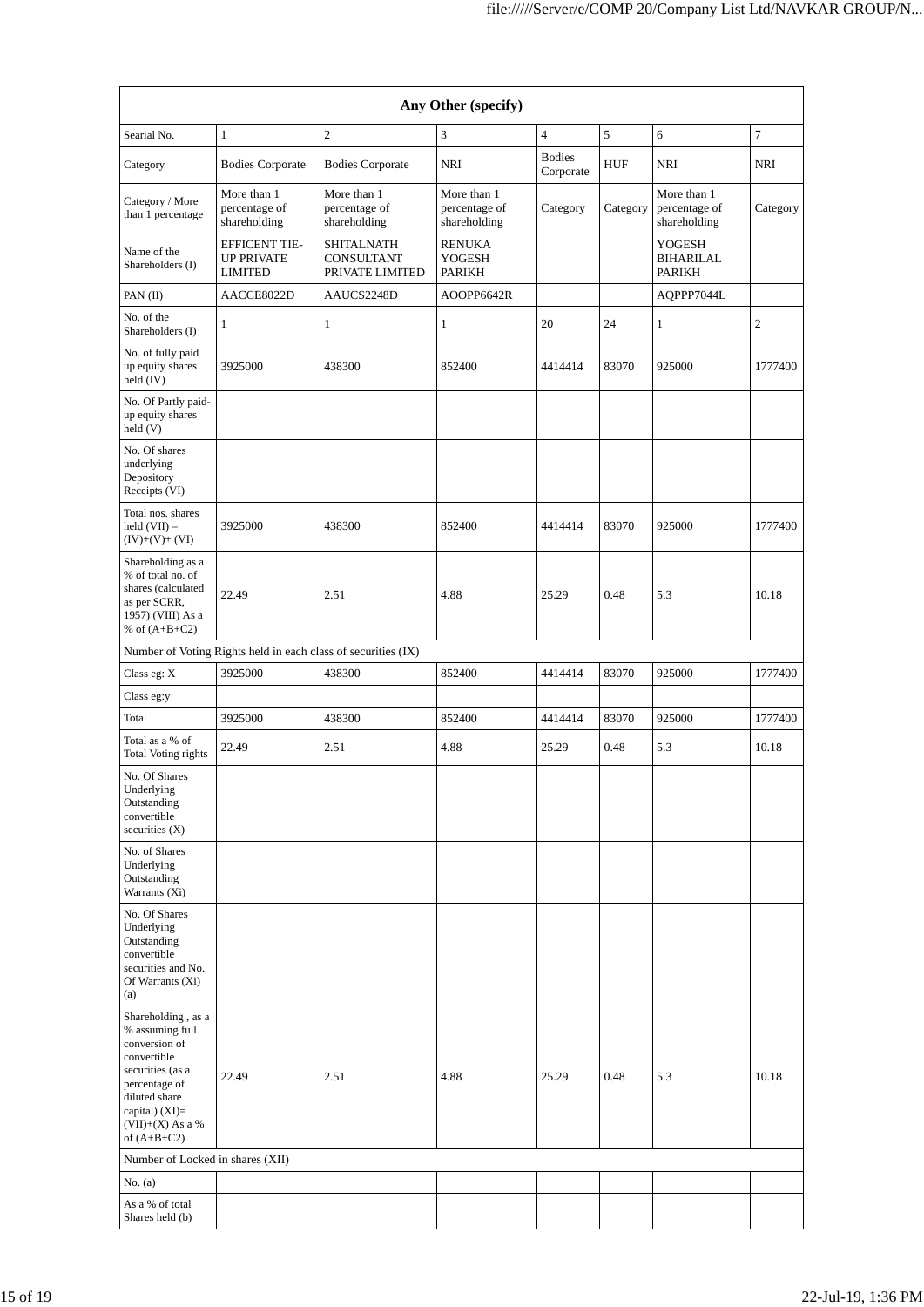| Any Other (specify)                                                                                                  |                                                               |                                                           |                                              |                            |            |                                                    |                |
|----------------------------------------------------------------------------------------------------------------------|---------------------------------------------------------------|-----------------------------------------------------------|----------------------------------------------|----------------------------|------------|----------------------------------------------------|----------------|
| Searial No.                                                                                                          | $\mathbf{1}$                                                  | $\overline{c}$                                            | 3                                            | $\overline{4}$             | 5          | 6                                                  | $\tau$         |
| Category                                                                                                             | <b>Bodies Corporate</b>                                       | <b>Bodies Corporate</b>                                   | <b>NRI</b>                                   | <b>Bodies</b><br>Corporate | <b>HUF</b> | <b>NRI</b>                                         | <b>NRI</b>     |
| Category / More<br>than 1 percentage                                                                                 | More than 1<br>percentage of<br>shareholding                  | More than 1<br>percentage of<br>shareholding              | More than 1<br>percentage of<br>shareholding | Category                   | Category   | More than 1<br>percentage of<br>shareholding       | Category       |
| Name of the<br>Shareholders (I)                                                                                      | <b>EFFICENT TIE-</b><br><b>UP PRIVATE</b><br><b>LIMITED</b>   | <b>SHITALNATH</b><br><b>CONSULTANT</b><br>PRIVATE LIMITED | <b>RENUKA</b><br>YOGESH<br>PARIKH            |                            |            | <b>YOGESH</b><br><b>BIHARILAL</b><br><b>PARIKH</b> |                |
| PAN(II)                                                                                                              | AACCE8022D                                                    | AAUCS2248D                                                | AOOPP6642R                                   |                            |            | AQPPP7044L                                         |                |
| No. of the<br>Shareholders (I)                                                                                       | 1                                                             | $\mathbf{1}$                                              | 1                                            | 20                         | 24         | 1                                                  | $\mathfrak{2}$ |
| No. of fully paid<br>up equity shares<br>held $(IV)$                                                                 | 3925000                                                       | 438300                                                    | 852400                                       | 4414414                    | 83070      | 925000                                             | 1777400        |
| No. Of Partly paid-<br>up equity shares<br>held (V)                                                                  |                                                               |                                                           |                                              |                            |            |                                                    |                |
| No. Of shares<br>underlying<br>Depository<br>Receipts (VI)                                                           |                                                               |                                                           |                                              |                            |            |                                                    |                |
| Total nos. shares<br>held $(VII) =$<br>$(IV)+(V)+(VI)$                                                               | 3925000                                                       | 438300                                                    | 852400                                       | 4414414                    | 83070      | 925000                                             | 1777400        |
| Shareholding as a<br>% of total no. of<br>shares (calculated<br>as per SCRR,<br>1957) (VIII) As a<br>% of $(A+B+C2)$ | 22.49                                                         | 2.51                                                      | 4.88                                         | 25.29                      | 0.48       | 5.3                                                | 10.18          |
|                                                                                                                      | Number of Voting Rights held in each class of securities (IX) |                                                           |                                              |                            |            |                                                    |                |
| Class eg: X                                                                                                          | 3925000                                                       | 438300                                                    | 852400                                       | 4414414                    | 83070      | 925000                                             | 1777400        |
| Class eg:y                                                                                                           |                                                               |                                                           |                                              |                            |            |                                                    |                |
| Total                                                                                                                | 3925000                                                       | 438300                                                    | 852400                                       | 4414414                    | 83070      | 925000                                             | 1777400        |
| Total as a % of<br>Total Voting rights                                                                               | 22.49                                                         | 2.51                                                      | 4.88                                         | 25.29                      | 0.48       | 5.3                                                | 10.18          |
| No. Of Shares<br>Underlying<br>Outstanding<br>convertible<br>securities $(X)$                                        |                                                               |                                                           |                                              |                            |            |                                                    |                |
| No. of Shares<br>Underlying<br>Outstanding<br>Warrants (Xi)                                                          |                                                               |                                                           |                                              |                            |            |                                                    |                |
| No. Of Shares<br>Underlying<br>Outstanding<br>convertible<br>securities and No.<br>Of Warrants (Xi)<br>(a)           |                                                               |                                                           |                                              |                            |            |                                                    |                |
| Shareholding, as a<br>% assuming full<br>conversion of<br>convertible<br>securities (as a                            |                                                               |                                                           |                                              |                            |            |                                                    |                |
| percentage of<br>diluted share<br>capital) $(XI)=$<br>$(VII)+(X)$ As a %<br>of $(A+B+C2)$                            | 22.49                                                         | 2.51                                                      | 4.88                                         | 25.29                      | 0.48       | 5.3                                                | 10.18          |
| Number of Locked in shares (XII)                                                                                     |                                                               |                                                           |                                              |                            |            |                                                    |                |
| No. (a)                                                                                                              |                                                               |                                                           |                                              |                            |            |                                                    |                |
| As a % of total<br>Shares held (b)                                                                                   |                                                               |                                                           |                                              |                            |            |                                                    |                |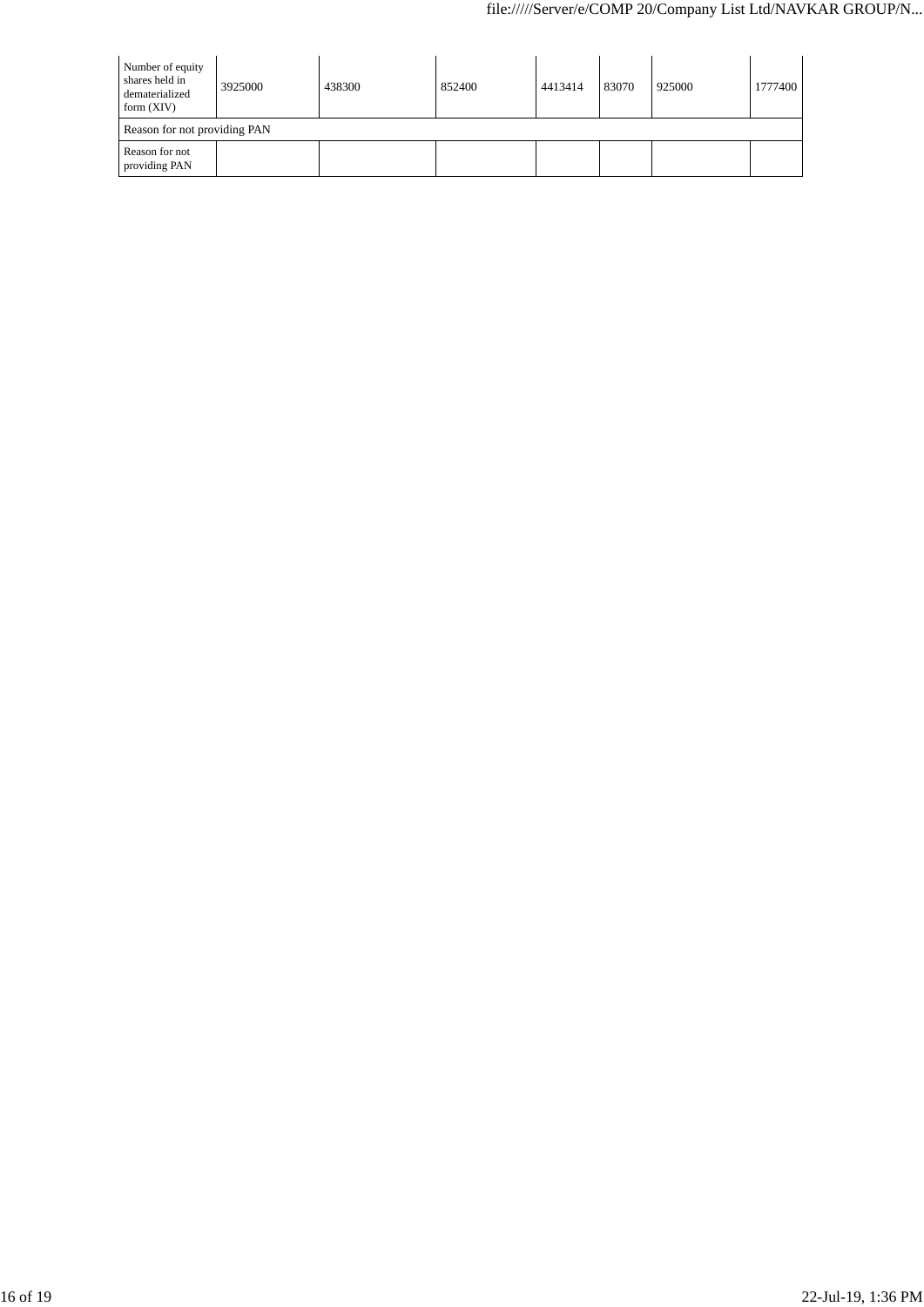| Number of equity<br>shares held in<br>dematerialized<br>form $(XIV)$ | 3925000 | 438300 | 852400 | 4413414 | 83070 | 925000 | 1777400 |
|----------------------------------------------------------------------|---------|--------|--------|---------|-------|--------|---------|
| Reason for not providing PAN                                         |         |        |        |         |       |        |         |
| Reason for not<br>providing PAN                                      |         |        |        |         |       |        |         |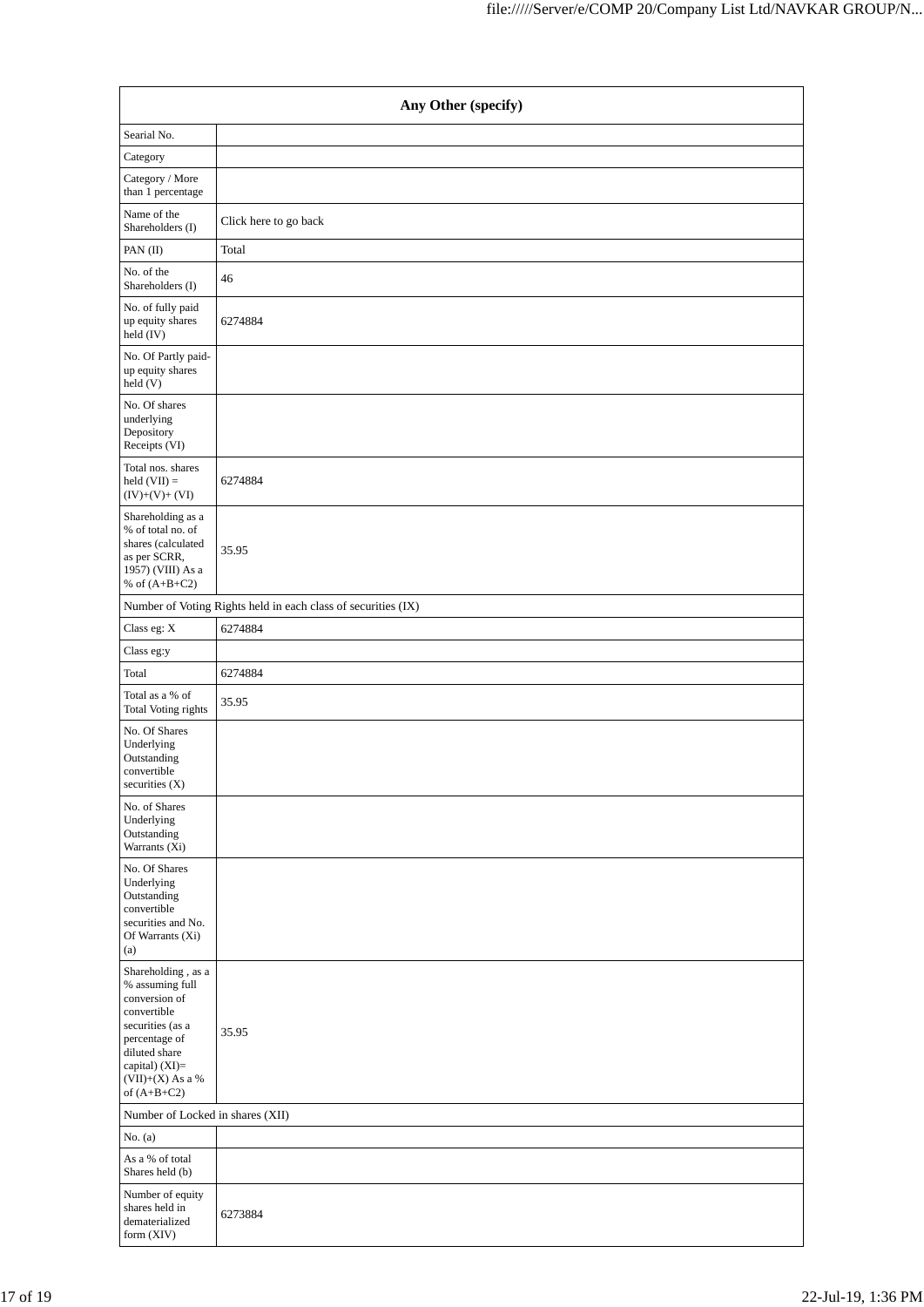| Any Other (specify)                                                                                                                                                                  |                                                               |  |  |  |  |  |
|--------------------------------------------------------------------------------------------------------------------------------------------------------------------------------------|---------------------------------------------------------------|--|--|--|--|--|
| Searial No.                                                                                                                                                                          |                                                               |  |  |  |  |  |
| Category                                                                                                                                                                             |                                                               |  |  |  |  |  |
| Category / More<br>than 1 percentage                                                                                                                                                 |                                                               |  |  |  |  |  |
| Name of the<br>Shareholders (I)                                                                                                                                                      | Click here to go back                                         |  |  |  |  |  |
| PAN (II)                                                                                                                                                                             | Total                                                         |  |  |  |  |  |
| No. of the<br>Shareholders (I)                                                                                                                                                       | 46                                                            |  |  |  |  |  |
| No. of fully paid<br>up equity shares<br>held (IV)                                                                                                                                   | 6274884                                                       |  |  |  |  |  |
| No. Of Partly paid-<br>up equity shares<br>held(V)                                                                                                                                   |                                                               |  |  |  |  |  |
| No. Of shares<br>underlying<br>Depository<br>Receipts (VI)                                                                                                                           |                                                               |  |  |  |  |  |
| Total nos. shares<br>held $(VII) =$<br>$(IV)+(V)+(VI)$                                                                                                                               | 6274884                                                       |  |  |  |  |  |
| Shareholding as a<br>% of total no. of<br>shares (calculated<br>as per SCRR,<br>1957) (VIII) As a<br>% of $(A+B+C2)$                                                                 | 35.95                                                         |  |  |  |  |  |
|                                                                                                                                                                                      | Number of Voting Rights held in each class of securities (IX) |  |  |  |  |  |
| Class eg: X                                                                                                                                                                          | 6274884                                                       |  |  |  |  |  |
| Class eg:y                                                                                                                                                                           |                                                               |  |  |  |  |  |
| Total                                                                                                                                                                                | 6274884                                                       |  |  |  |  |  |
| Total as a % of<br>Total Voting rights                                                                                                                                               | 35.95                                                         |  |  |  |  |  |
| No. Of Shares<br>Underlying<br>Outstanding<br>convertible<br>securities (X)                                                                                                          |                                                               |  |  |  |  |  |
| No. of Shares<br>Underlying<br>Outstanding<br>Warrants (Xi)                                                                                                                          |                                                               |  |  |  |  |  |
| No. Of Shares<br>Underlying<br>Outstanding<br>convertible<br>securities and No.<br>Of Warrants (Xi)<br>(a)                                                                           |                                                               |  |  |  |  |  |
| Shareholding, as a<br>% assuming full<br>conversion of<br>convertible<br>securities (as a<br>percentage of<br>diluted share<br>capital) (XI)=<br>$(VII)+(X)$ As a %<br>of $(A+B+C2)$ | 35.95                                                         |  |  |  |  |  |
| Number of Locked in shares (XII)                                                                                                                                                     |                                                               |  |  |  |  |  |
| No. $(a)$                                                                                                                                                                            |                                                               |  |  |  |  |  |
| As a % of total<br>Shares held (b)                                                                                                                                                   |                                                               |  |  |  |  |  |
| Number of equity<br>shares held in<br>dematerialized<br>form (XIV)                                                                                                                   | 6273884                                                       |  |  |  |  |  |